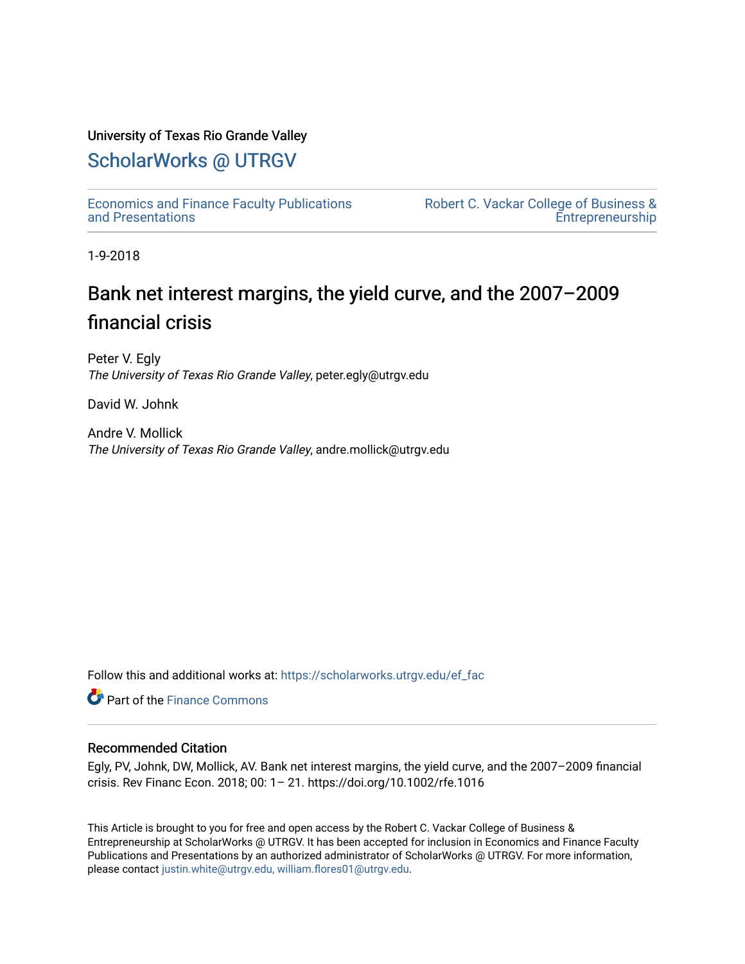### University of Texas Rio Grande Valley

# [ScholarWorks @ UTRGV](https://scholarworks.utrgv.edu/)

[Economics and Finance Faculty Publications](https://scholarworks.utrgv.edu/ef_fac)  [and Presentations](https://scholarworks.utrgv.edu/ef_fac) 

[Robert C. Vackar College of Business &](https://scholarworks.utrgv.edu/rcvcbe)  [Entrepreneurship](https://scholarworks.utrgv.edu/rcvcbe) 

1-9-2018

# Bank net interest margins, the yield curve, and the 2007–2009 financial crisis

Peter V. Egly The University of Texas Rio Grande Valley, peter.egly@utrgv.edu

David W. Johnk

Andre V. Mollick The University of Texas Rio Grande Valley, andre.mollick@utrgv.edu

Follow this and additional works at: [https://scholarworks.utrgv.edu/ef\\_fac](https://scholarworks.utrgv.edu/ef_fac?utm_source=scholarworks.utrgv.edu%2Fef_fac%2F122&utm_medium=PDF&utm_campaign=PDFCoverPages)

**Part of the Finance Commons** 

#### Recommended Citation

Egly, PV, Johnk, DW, Mollick, AV. Bank net interest margins, the yield curve, and the 2007–2009 financial crisis. Rev Financ Econ. 2018; 00: 1– 21. https://doi.org/10.1002/rfe.1016

This Article is brought to you for free and open access by the Robert C. Vackar College of Business & Entrepreneurship at ScholarWorks @ UTRGV. It has been accepted for inclusion in Economics and Finance Faculty Publications and Presentations by an authorized administrator of ScholarWorks @ UTRGV. For more information, please contact [justin.white@utrgv.edu, william.flores01@utrgv.edu](mailto:justin.white@utrgv.edu,%20william.flores01@utrgv.edu).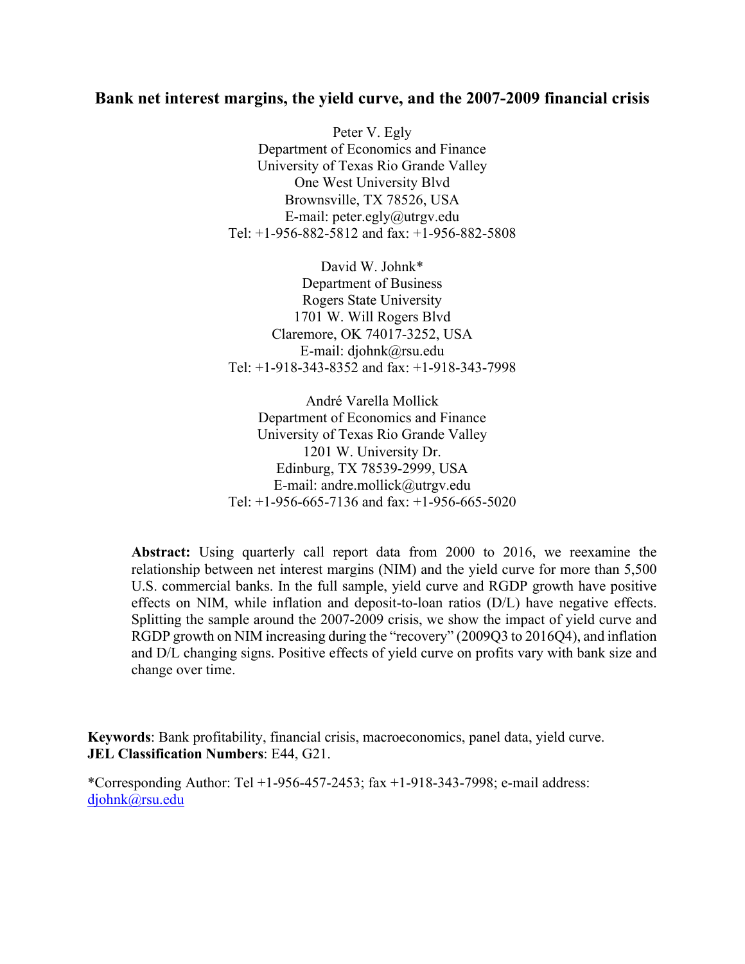## **Bank net interest margins, the yield curve, and the 2007-2009 financial crisis**

Peter V. Egly Department of Economics and Finance University of Texas Rio Grande Valley One West University Blvd Brownsville, TX 78526, USA E-mail: peter.egly@utrgv.edu Tel: +1-956-882-5812 and fax: +1-956-882-5808

David W. Johnk\* Department of Business Rogers State University 1701 W. Will Rogers Blvd Claremore, OK 74017-3252, USA E-mail: djohnk@rsu.edu Tel: +1-918-343-8352 and fax: +1-918-343-7998

André Varella Mollick Department of Economics and Finance University of Texas Rio Grande Valley 1201 W. University Dr. Edinburg, TX 78539-2999, USA E-mail: andre.mollick@utrgv.edu Tel:  $+1-956-665-7136$  and fax:  $+1-956-665-5020$ 

**Abstract:** Using quarterly call report data from 2000 to 2016, we reexamine the relationship between net interest margins (NIM) and the yield curve for more than 5,500 U.S. commercial banks. In the full sample, yield curve and RGDP growth have positive effects on NIM, while inflation and deposit-to-loan ratios (D/L) have negative effects. Splitting the sample around the 2007-2009 crisis, we show the impact of yield curve and RGDP growth on NIM increasing during the "recovery" (2009Q3 to 2016Q4), and inflation and D/L changing signs. Positive effects of yield curve on profits vary with bank size and change over time.

**Keywords**: Bank profitability, financial crisis, macroeconomics, panel data, yield curve. **JEL Classification Numbers**: E44, G21.

\*Corresponding Author: Tel +1-956-457-2453; fax +1-918-343-7998; e-mail address: [djohnk@rsu.edu](mailto:djohnk@rsu.edu)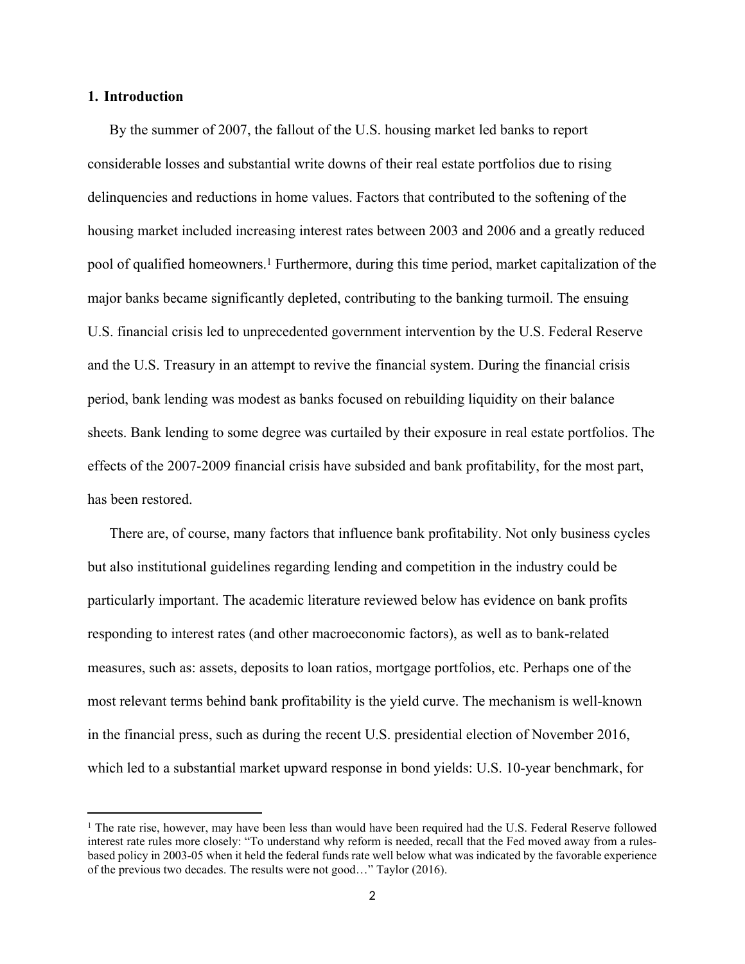#### **1. Introduction**

By the summer of 2007, the fallout of the U.S. housing market led banks to report considerable losses and substantial write downs of their real estate portfolios due to rising delinquencies and reductions in home values. Factors that contributed to the softening of the housing market included increasing interest rates between 2003 and 2006 and a greatly reduced pool of qualified homeowners.<sup>1</sup> Furthermore, during this time period, market capitalization of the major banks became significantly depleted, contributing to the banking turmoil. The ensuing U.S. financial crisis led to unprecedented government intervention by the U.S. Federal Reserve and the U.S. Treasury in an attempt to revive the financial system. During the financial crisis period, bank lending was modest as banks focused on rebuilding liquidity on their balance sheets. Bank lending to some degree was curtailed by their exposure in real estate portfolios. The effects of the 2007-2009 financial crisis have subsided and bank profitability, for the most part, has been restored.

There are, of course, many factors that influence bank profitability. Not only business cycles but also institutional guidelines regarding lending and competition in the industry could be particularly important. The academic literature reviewed below has evidence on bank profits responding to interest rates (and other macroeconomic factors), as well as to bank-related measures, such as: assets, deposits to loan ratios, mortgage portfolios, etc. Perhaps one of the most relevant terms behind bank profitability is the yield curve. The mechanism is well-known in the financial press, such as during the recent U.S. presidential election of November 2016, which led to a substantial market upward response in bond yields: U.S. 10-year benchmark, for

<sup>&</sup>lt;sup>1</sup> The rate rise, however, may have been less than would have been required had the U.S. Federal Reserve followed interest rate rules more closely: "To understand why reform is needed, recall that the Fed moved away from a rulesbased policy in 2003-05 when it held the federal funds rate well below what was indicated by the favorable experience of the previous two decades. The results were not good…" Taylor (2016).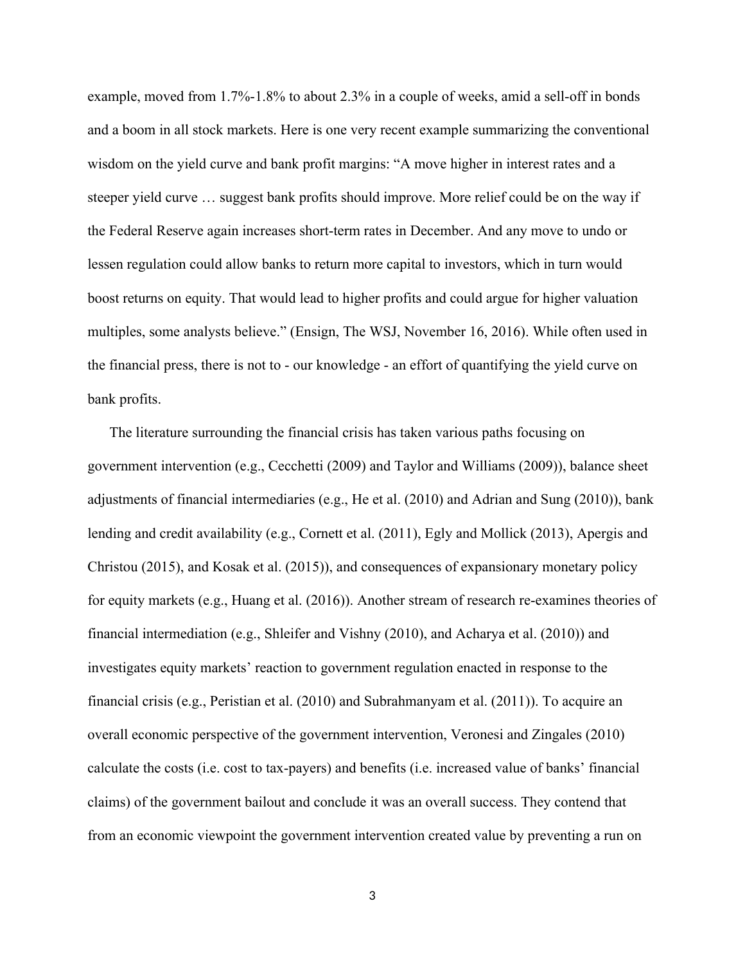example, moved from 1.7%-1.8% to about 2.3% in a couple of weeks, amid a sell-off in bonds and a boom in all stock markets. Here is one very recent example summarizing the conventional wisdom on the yield curve and bank profit margins: "A move higher in interest rates and a steeper yield curve … suggest bank profits should improve. More relief could be on the way if the Federal Reserve again increases short-term rates in December. And any move to undo or lessen regulation could allow banks to return more capital to investors, which in turn would boost returns on equity. That would lead to higher profits and could argue for higher valuation multiples, some analysts believe." (Ensign, The WSJ, November 16, 2016). While often used in the financial press, there is not to - our knowledge - an effort of quantifying the yield curve on bank profits.

The literature surrounding the financial crisis has taken various paths focusing on government intervention (e.g., Cecchetti (2009) and Taylor and Williams (2009)), balance sheet adjustments of financial intermediaries (e.g., He et al. (2010) and Adrian and Sung (2010)), bank lending and credit availability (e.g., Cornett et al. (2011), Egly and Mollick (2013), Apergis and Christou (2015), and Kosak et al. (2015)), and consequences of expansionary monetary policy for equity markets (e.g., Huang et al. (2016)). Another stream of research re-examines theories of financial intermediation (e.g., Shleifer and Vishny (2010), and Acharya et al. (2010)) and investigates equity markets' reaction to government regulation enacted in response to the financial crisis (e.g., Peristian et al. (2010) and Subrahmanyam et al. (2011)). To acquire an overall economic perspective of the government intervention, Veronesi and Zingales (2010) calculate the costs (i.e. cost to tax-payers) and benefits (i.e. increased value of banks' financial claims) of the government bailout and conclude it was an overall success. They contend that from an economic viewpoint the government intervention created value by preventing a run on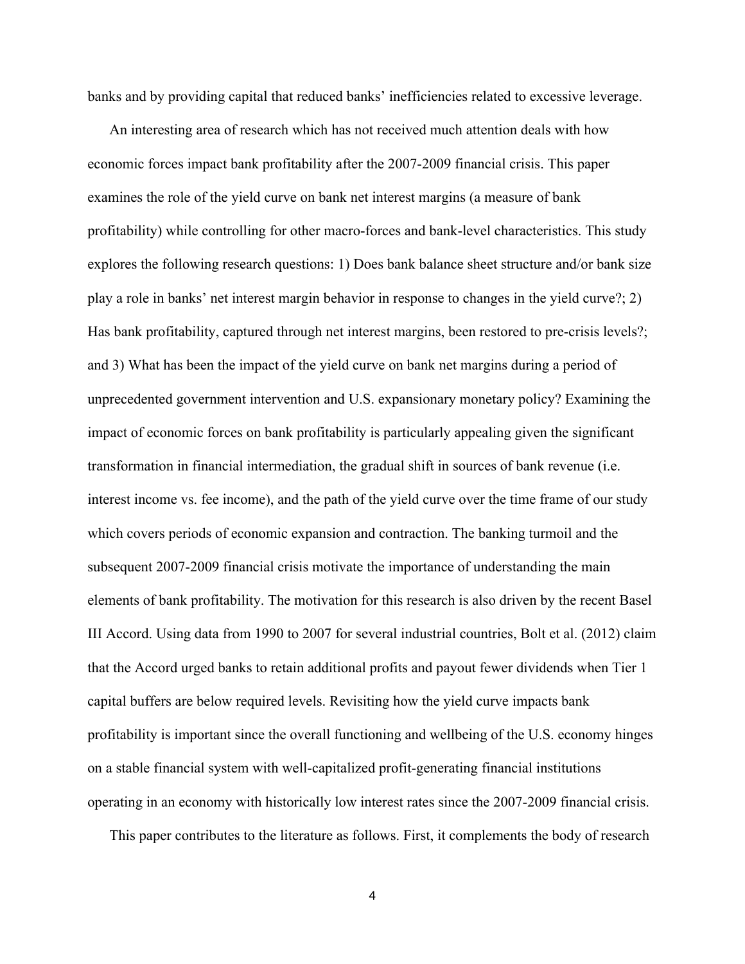banks and by providing capital that reduced banks' inefficiencies related to excessive leverage.

An interesting area of research which has not received much attention deals with how economic forces impact bank profitability after the 2007-2009 financial crisis. This paper examines the role of the yield curve on bank net interest margins (a measure of bank profitability) while controlling for other macro-forces and bank-level characteristics. This study explores the following research questions: 1) Does bank balance sheet structure and/or bank size play a role in banks' net interest margin behavior in response to changes in the yield curve?; 2) Has bank profitability, captured through net interest margins, been restored to pre-crisis levels?; and 3) What has been the impact of the yield curve on bank net margins during a period of unprecedented government intervention and U.S. expansionary monetary policy? Examining the impact of economic forces on bank profitability is particularly appealing given the significant transformation in financial intermediation, the gradual shift in sources of bank revenue (i.e. interest income vs. fee income), and the path of the yield curve over the time frame of our study which covers periods of economic expansion and contraction. The banking turmoil and the subsequent 2007-2009 financial crisis motivate the importance of understanding the main elements of bank profitability. The motivation for this research is also driven by the recent Basel III Accord. Using data from 1990 to 2007 for several industrial countries, Bolt et al. (2012) claim that the Accord urged banks to retain additional profits and payout fewer dividends when Tier 1 capital buffers are below required levels. Revisiting how the yield curve impacts bank profitability is important since the overall functioning and wellbeing of the U.S. economy hinges on a stable financial system with well-capitalized profit-generating financial institutions operating in an economy with historically low interest rates since the 2007-2009 financial crisis.

This paper contributes to the literature as follows. First, it complements the body of research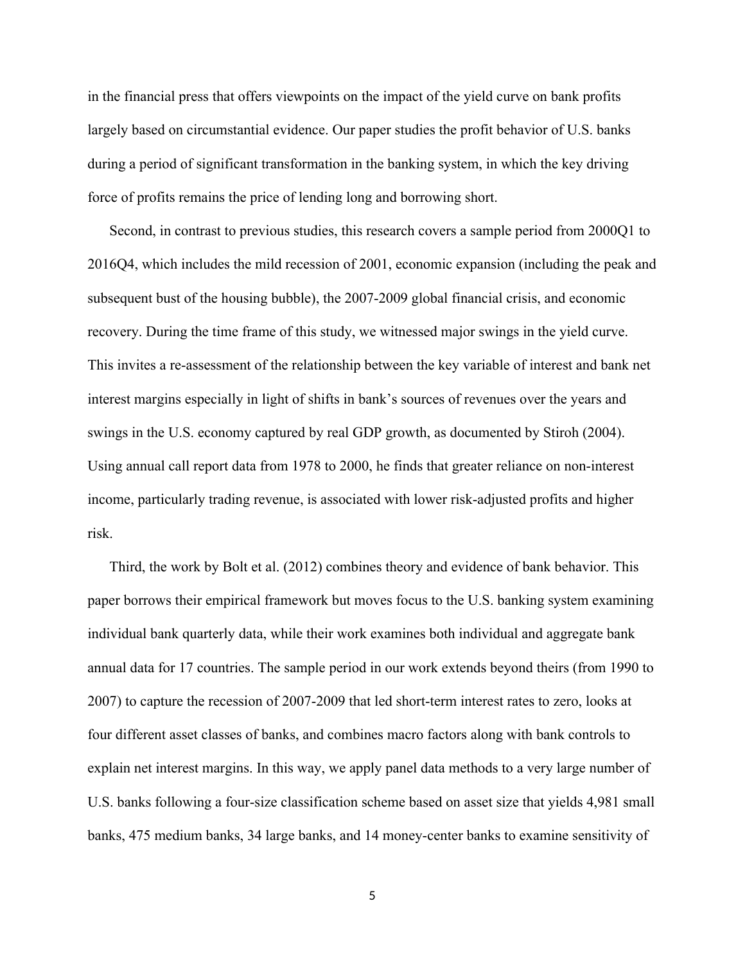in the financial press that offers viewpoints on the impact of the yield curve on bank profits largely based on circumstantial evidence. Our paper studies the profit behavior of U.S. banks during a period of significant transformation in the banking system, in which the key driving force of profits remains the price of lending long and borrowing short.

Second, in contrast to previous studies, this research covers a sample period from 2000Q1 to 2016Q4, which includes the mild recession of 2001, economic expansion (including the peak and subsequent bust of the housing bubble), the 2007-2009 global financial crisis, and economic recovery. During the time frame of this study, we witnessed major swings in the yield curve. This invites a re-assessment of the relationship between the key variable of interest and bank net interest margins especially in light of shifts in bank's sources of revenues over the years and swings in the U.S. economy captured by real GDP growth, as documented by Stiroh (2004). Using annual call report data from 1978 to 2000, he finds that greater reliance on non-interest income, particularly trading revenue, is associated with lower risk-adjusted profits and higher risk.

Third, the work by Bolt et al. (2012) combines theory and evidence of bank behavior. This paper borrows their empirical framework but moves focus to the U.S. banking system examining individual bank quarterly data, while their work examines both individual and aggregate bank annual data for 17 countries. The sample period in our work extends beyond theirs (from 1990 to 2007) to capture the recession of 2007-2009 that led short-term interest rates to zero, looks at four different asset classes of banks, and combines macro factors along with bank controls to explain net interest margins. In this way, we apply panel data methods to a very large number of U.S. banks following a four-size classification scheme based on asset size that yields 4,981 small banks, 475 medium banks, 34 large banks, and 14 money-center banks to examine sensitivity of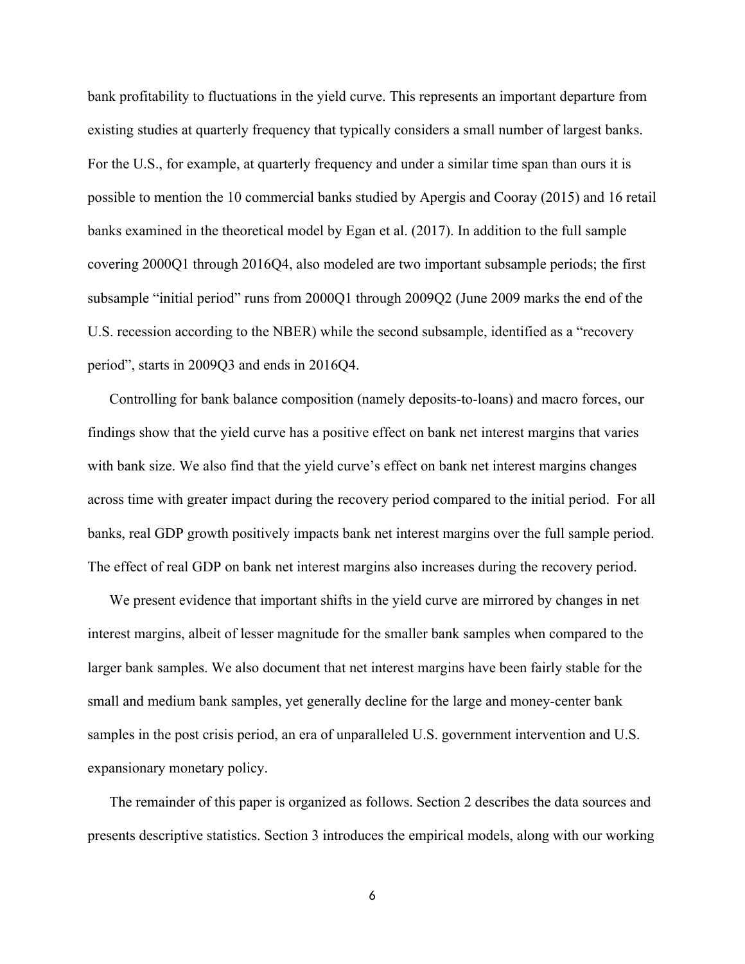bank profitability to fluctuations in the yield curve. This represents an important departure from existing studies at quarterly frequency that typically considers a small number of largest banks. For the U.S., for example, at quarterly frequency and under a similar time span than ours it is possible to mention the 10 commercial banks studied by Apergis and Cooray (2015) and 16 retail banks examined in the theoretical model by Egan et al. (2017). In addition to the full sample covering 2000Q1 through 2016Q4, also modeled are two important subsample periods; the first subsample "initial period" runs from 2000Q1 through 2009Q2 (June 2009 marks the end of the U.S. recession according to the NBER) while the second subsample, identified as a "recovery period", starts in 2009Q3 and ends in 2016Q4.

Controlling for bank balance composition (namely deposits-to-loans) and macro forces, our findings show that the yield curve has a positive effect on bank net interest margins that varies with bank size. We also find that the yield curve's effect on bank net interest margins changes across time with greater impact during the recovery period compared to the initial period. For all banks, real GDP growth positively impacts bank net interest margins over the full sample period. The effect of real GDP on bank net interest margins also increases during the recovery period.

We present evidence that important shifts in the yield curve are mirrored by changes in net interest margins, albeit of lesser magnitude for the smaller bank samples when compared to the larger bank samples. We also document that net interest margins have been fairly stable for the small and medium bank samples, yet generally decline for the large and money-center bank samples in the post crisis period, an era of unparalleled U.S. government intervention and U.S. expansionary monetary policy.

The remainder of this paper is organized as follows. Section 2 describes the data sources and presents descriptive statistics. Section 3 introduces the empirical models, along with our working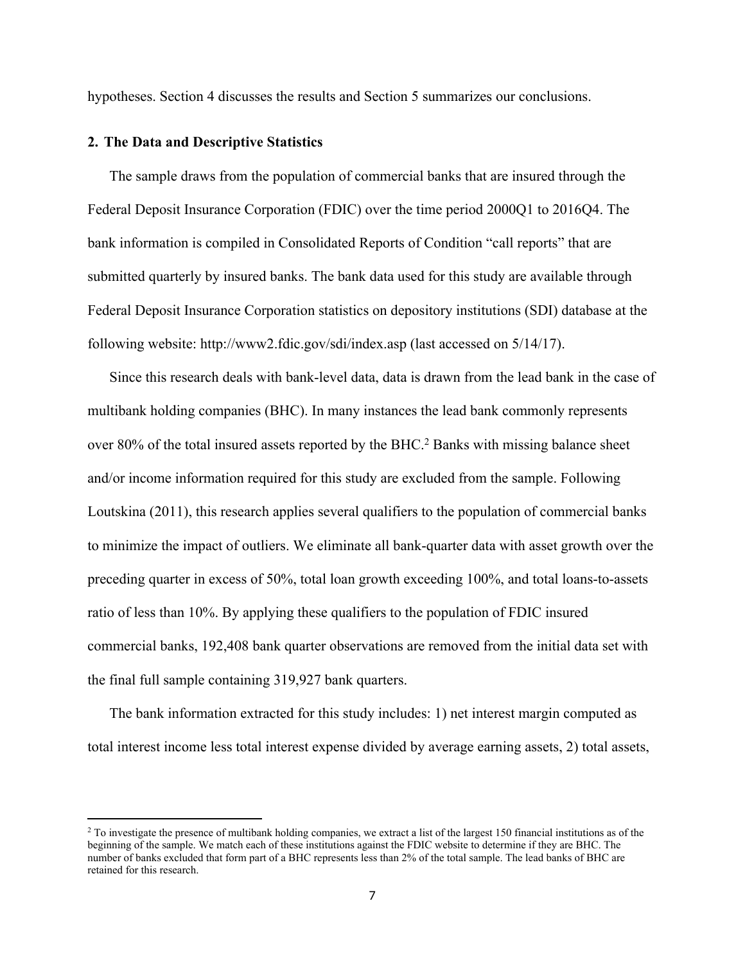hypotheses. Section 4 discusses the results and Section 5 summarizes our conclusions.

#### **2. The Data and Descriptive Statistics**

The sample draws from the population of commercial banks that are insured through the Federal Deposit Insurance Corporation (FDIC) over the time period 2000Q1 to 2016Q4. The bank information is compiled in Consolidated Reports of Condition "call reports" that are submitted quarterly by insured banks. The bank data used for this study are available through Federal Deposit Insurance Corporation statistics on depository institutions (SDI) database at the following website: http://www2.fdic.gov/sdi/index.asp (last accessed on 5/14/17).

Since this research deals with bank-level data, data is drawn from the lead bank in the case of multibank holding companies (BHC). In many instances the lead bank commonly represents over 80% of the total insured assets reported by the BHC.<sup>2</sup> Banks with missing balance sheet and/or income information required for this study are excluded from the sample. Following Loutskina (2011), this research applies several qualifiers to the population of commercial banks to minimize the impact of outliers. We eliminate all bank-quarter data with asset growth over the preceding quarter in excess of 50%, total loan growth exceeding 100%, and total loans-to-assets ratio of less than 10%. By applying these qualifiers to the population of FDIC insured commercial banks, 192,408 bank quarter observations are removed from the initial data set with the final full sample containing 319,927 bank quarters.

The bank information extracted for this study includes: 1) net interest margin computed as total interest income less total interest expense divided by average earning assets, 2) total assets,

<sup>&</sup>lt;sup>2</sup> To investigate the presence of multibank holding companies, we extract a list of the largest 150 financial institutions as of the beginning of the sample. We match each of these institutions against the FDIC website to determine if they are BHC. The number of banks excluded that form part of a BHC represents less than 2% of the total sample. The lead banks of BHC are retained for this research.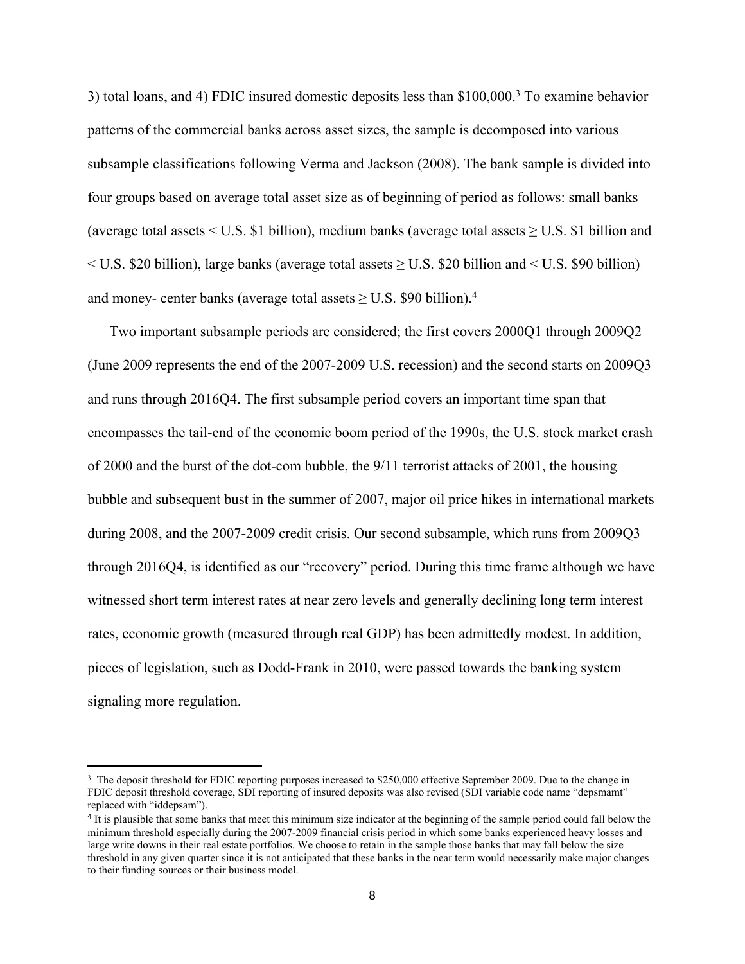3) total loans, and 4) FDIC insured domestic deposits less than \$100,000.<sup>3</sup> To examine behavior patterns of the commercial banks across asset sizes, the sample is decomposed into various subsample classifications following Verma and Jackson (2008). The bank sample is divided into four groups based on average total asset size as of beginning of period as follows: small banks (average total assets  $\leq U.S.$  \$1 billion), medium banks (average total assets  $\geq U.S.$  \$1 billion and  $\leq$  U.S. \$20 billion), large banks (average total assets  $\geq$  U.S. \$20 billion and  $\leq$  U.S. \$90 billion) and money- center banks (average total assets  $\geq$  U.S. \$90 billion).<sup>4</sup>

Two important subsample periods are considered; the first covers 2000Q1 through 2009Q2 (June 2009 represents the end of the 2007-2009 U.S. recession) and the second starts on 2009Q3 and runs through 2016Q4. The first subsample period covers an important time span that encompasses the tail-end of the economic boom period of the 1990s, the U.S. stock market crash of 2000 and the burst of the dot-com bubble, the 9/11 terrorist attacks of 2001, the housing bubble and subsequent bust in the summer of 2007, major oil price hikes in international markets during 2008, and the 2007-2009 credit crisis. Our second subsample, which runs from 2009Q3 through 2016Q4, is identified as our "recovery" period. During this time frame although we have witnessed short term interest rates at near zero levels and generally declining long term interest rates, economic growth (measured through real GDP) has been admittedly modest. In addition, pieces of legislation, such as Dodd-Frank in 2010, were passed towards the banking system signaling more regulation.

<sup>&</sup>lt;sup>3</sup> The deposit threshold for FDIC reporting purposes increased to \$250,000 effective September 2009. Due to the change in FDIC deposit threshold coverage, SDI reporting of insured deposits was also revised (SDI variable code name "depsmamt" replaced with "iddepsam").

<sup>4</sup> It is plausible that some banks that meet this minimum size indicator at the beginning of the sample period could fall below the minimum threshold especially during the 2007-2009 financial crisis period in which some banks experienced heavy losses and large write downs in their real estate portfolios. We choose to retain in the sample those banks that may fall below the size threshold in any given quarter since it is not anticipated that these banks in the near term would necessarily make major changes to their funding sources or their business model.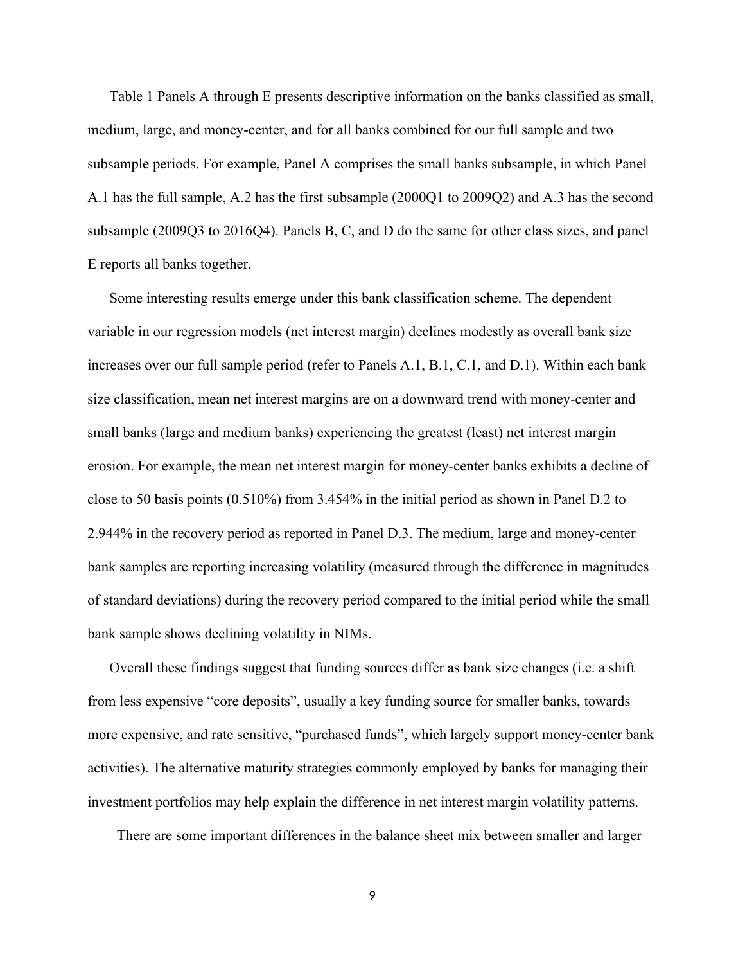Table 1 Panels A through E presents descriptive information on the banks classified as small, medium, large, and money-center, and for all banks combined for our full sample and two subsample periods. For example, Panel A comprises the small banks subsample, in which Panel A.1 has the full sample, A.2 has the first subsample (2000Q1 to 2009Q2) and A.3 has the second subsample (2009Q3 to 2016Q4). Panels B, C, and D do the same for other class sizes, and panel E reports all banks together.

Some interesting results emerge under this bank classification scheme. The dependent variable in our regression models (net interest margin) declines modestly as overall bank size increases over our full sample period (refer to Panels A.1, B.1, C.1, and D.1). Within each bank size classification, mean net interest margins are on a downward trend with money-center and small banks (large and medium banks) experiencing the greatest (least) net interest margin erosion. For example, the mean net interest margin for money-center banks exhibits a decline of close to 50 basis points (0.510%) from 3.454% in the initial period as shown in Panel D.2 to 2.944% in the recovery period as reported in Panel D.3. The medium, large and money-center bank samples are reporting increasing volatility (measured through the difference in magnitudes of standard deviations) during the recovery period compared to the initial period while the small bank sample shows declining volatility in NIMs.

Overall these findings suggest that funding sources differ as bank size changes (i.e. a shift from less expensive "core deposits", usually a key funding source for smaller banks, towards more expensive, and rate sensitive, "purchased funds", which largely support money-center bank activities). The alternative maturity strategies commonly employed by banks for managing their investment portfolios may help explain the difference in net interest margin volatility patterns.

There are some important differences in the balance sheet mix between smaller and larger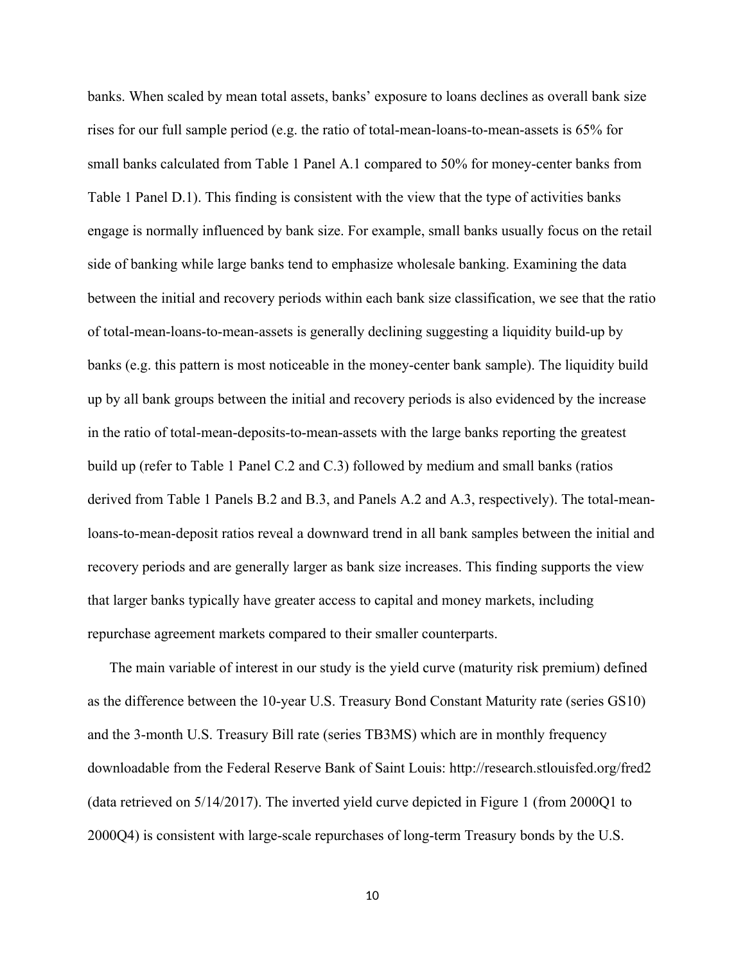banks. When scaled by mean total assets, banks' exposure to loans declines as overall bank size rises for our full sample period (e.g. the ratio of total-mean-loans-to-mean-assets is 65% for small banks calculated from Table 1 Panel A.1 compared to 50% for money-center banks from Table 1 Panel D.1). This finding is consistent with the view that the type of activities banks engage is normally influenced by bank size. For example, small banks usually focus on the retail side of banking while large banks tend to emphasize wholesale banking. Examining the data between the initial and recovery periods within each bank size classification, we see that the ratio of total-mean-loans-to-mean-assets is generally declining suggesting a liquidity build-up by banks (e.g. this pattern is most noticeable in the money-center bank sample). The liquidity build up by all bank groups between the initial and recovery periods is also evidenced by the increase in the ratio of total-mean-deposits-to-mean-assets with the large banks reporting the greatest build up (refer to Table 1 Panel C.2 and C.3) followed by medium and small banks (ratios derived from Table 1 Panels B.2 and B.3, and Panels A.2 and A.3, respectively). The total-meanloans-to-mean-deposit ratios reveal a downward trend in all bank samples between the initial and recovery periods and are generally larger as bank size increases. This finding supports the view that larger banks typically have greater access to capital and money markets, including repurchase agreement markets compared to their smaller counterparts.

The main variable of interest in our study is the yield curve (maturity risk premium) defined as the difference between the 10-year U.S. Treasury Bond Constant Maturity rate (series GS10) and the 3-month U.S. Treasury Bill rate (series TB3MS) which are in monthly frequency downloadable from the Federal Reserve Bank of Saint Louis: http://research.stlouisfed.org/fred2 (data retrieved on 5/14/2017). The inverted yield curve depicted in Figure 1 (from 2000Q1 to 2000Q4) is consistent with large-scale repurchases of long-term Treasury bonds by the U.S.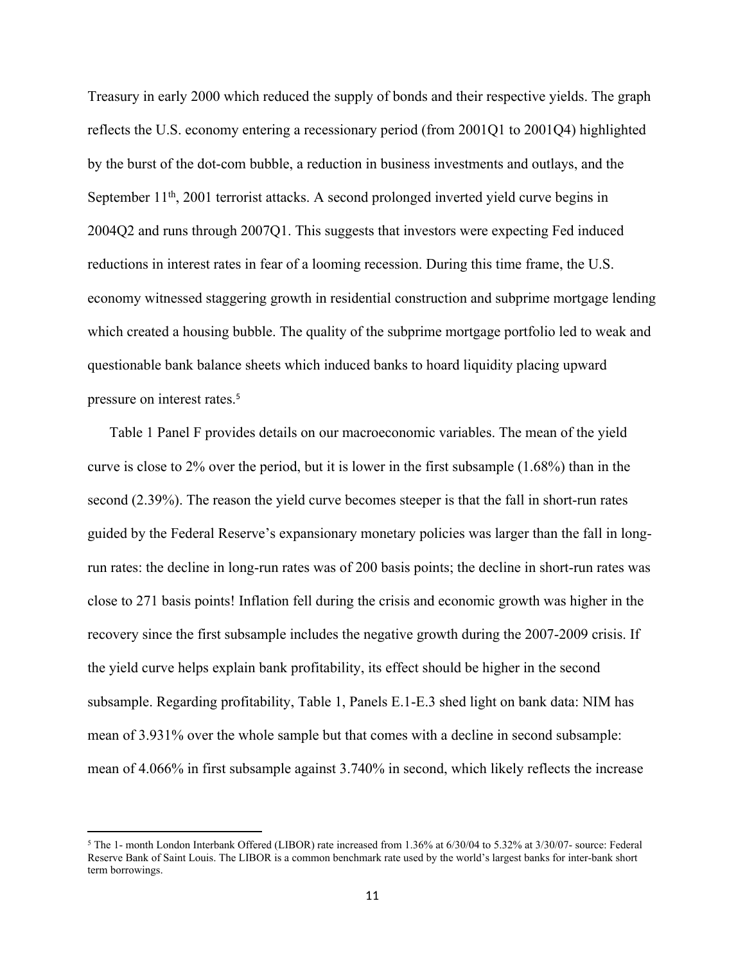Treasury in early 2000 which reduced the supply of bonds and their respective yields. The graph reflects the U.S. economy entering a recessionary period (from 2001Q1 to 2001Q4) highlighted by the burst of the dot-com bubble, a reduction in business investments and outlays, and the September 11<sup>th</sup>, 2001 terrorist attacks. A second prolonged inverted yield curve begins in 2004Q2 and runs through 2007Q1. This suggests that investors were expecting Fed induced reductions in interest rates in fear of a looming recession. During this time frame, the U.S. economy witnessed staggering growth in residential construction and subprime mortgage lending which created a housing bubble. The quality of the subprime mortgage portfolio led to weak and questionable bank balance sheets which induced banks to hoard liquidity placing upward pressure on interest rates.<sup>5</sup>

Table 1 Panel F provides details on our macroeconomic variables. The mean of the yield curve is close to 2% over the period, but it is lower in the first subsample  $(1.68%)$  than in the second (2.39%). The reason the yield curve becomes steeper is that the fall in short-run rates guided by the Federal Reserve's expansionary monetary policies was larger than the fall in longrun rates: the decline in long-run rates was of 200 basis points; the decline in short-run rates was close to 271 basis points! Inflation fell during the crisis and economic growth was higher in the recovery since the first subsample includes the negative growth during the 2007-2009 crisis. If the yield curve helps explain bank profitability, its effect should be higher in the second subsample. Regarding profitability, Table 1, Panels E.1-E.3 shed light on bank data: NIM has mean of 3.931% over the whole sample but that comes with a decline in second subsample: mean of 4.066% in first subsample against 3.740% in second, which likely reflects the increase

<sup>&</sup>lt;sup>5</sup> The 1- month London Interbank Offered (LIBOR) rate increased from 1.36% at 6/30/04 to 5.32% at 3/30/07- source: Federal Reserve Bank of Saint Louis. The LIBOR is a common benchmark rate used by the world's largest banks for inter-bank short term borrowings.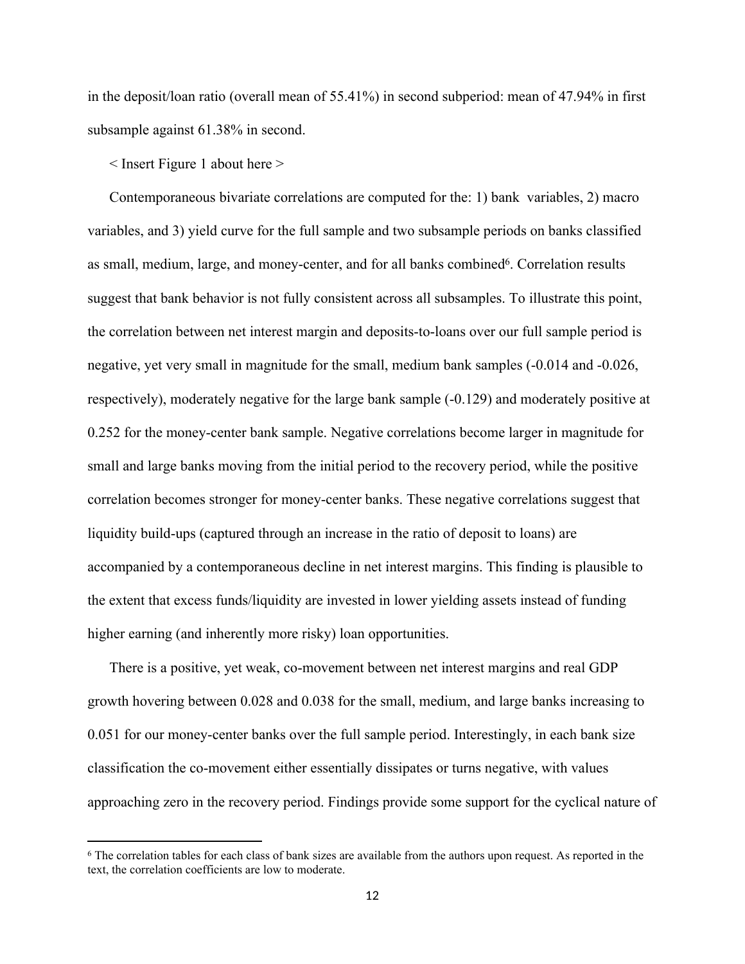in the deposit/loan ratio (overall mean of 55.41%) in second subperiod: mean of 47.94% in first subsample against 61.38% in second.

< Insert Figure 1 about here >

Contemporaneous bivariate correlations are computed for the: 1) bank variables, 2) macro variables, and 3) yield curve for the full sample and two subsample periods on banks classified as small, medium, large, and money-center, and for all banks combined<sup>6</sup>. Correlation results suggest that bank behavior is not fully consistent across all subsamples. To illustrate this point, the correlation between net interest margin and deposits-to-loans over our full sample period is negative, yet very small in magnitude for the small, medium bank samples (-0.014 and -0.026, respectively), moderately negative for the large bank sample (-0.129) and moderately positive at 0.252 for the money-center bank sample. Negative correlations become larger in magnitude for small and large banks moving from the initial period to the recovery period, while the positive correlation becomes stronger for money-center banks. These negative correlations suggest that liquidity build-ups (captured through an increase in the ratio of deposit to loans) are accompanied by a contemporaneous decline in net interest margins. This finding is plausible to the extent that excess funds/liquidity are invested in lower yielding assets instead of funding higher earning (and inherently more risky) loan opportunities.

There is a positive, yet weak, co-movement between net interest margins and real GDP growth hovering between 0.028 and 0.038 for the small, medium, and large banks increasing to 0.051 for our money-center banks over the full sample period. Interestingly, in each bank size classification the co-movement either essentially dissipates or turns negative, with values approaching zero in the recovery period. Findings provide some support for the cyclical nature of

<sup>6</sup> The correlation tables for each class of bank sizes are available from the authors upon request. As reported in the text, the correlation coefficients are low to moderate.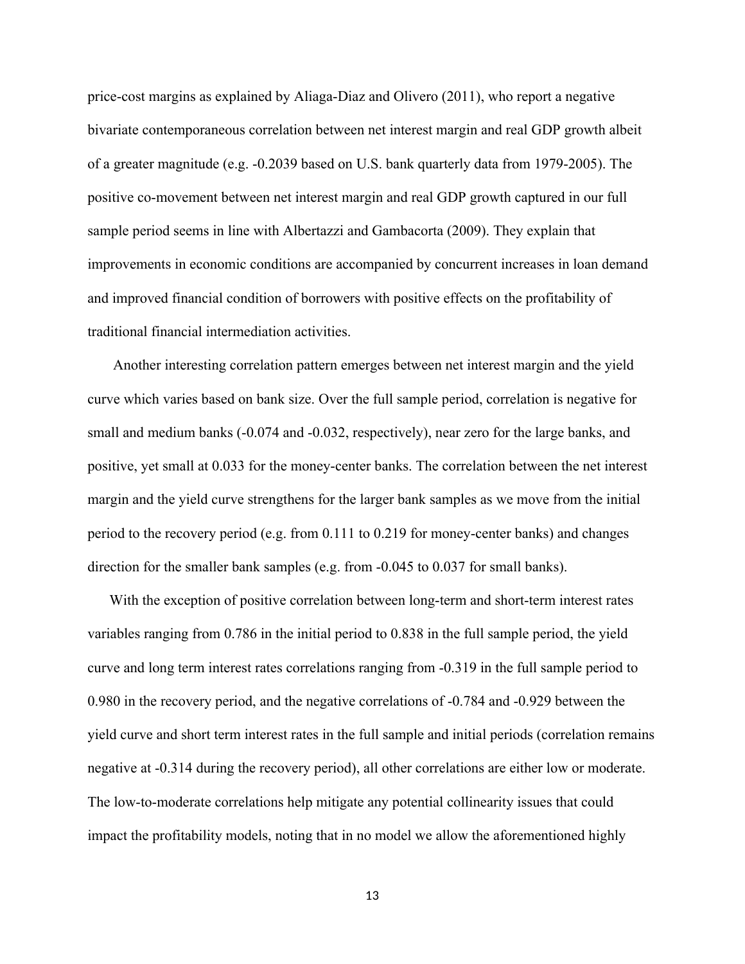price-cost margins as explained by Aliaga-Diaz and Olivero (2011), who report a negative bivariate contemporaneous correlation between net interest margin and real GDP growth albeit of a greater magnitude (e.g. -0.2039 based on U.S. bank quarterly data from 1979-2005). The positive co-movement between net interest margin and real GDP growth captured in our full sample period seems in line with Albertazzi and Gambacorta (2009). They explain that improvements in economic conditions are accompanied by concurrent increases in loan demand and improved financial condition of borrowers with positive effects on the profitability of traditional financial intermediation activities.

 Another interesting correlation pattern emerges between net interest margin and the yield curve which varies based on bank size. Over the full sample period, correlation is negative for small and medium banks (-0.074 and -0.032, respectively), near zero for the large banks, and positive, yet small at 0.033 for the money-center banks. The correlation between the net interest margin and the yield curve strengthens for the larger bank samples as we move from the initial period to the recovery period (e.g. from 0.111 to 0.219 for money-center banks) and changes direction for the smaller bank samples (e.g. from -0.045 to 0.037 for small banks).

With the exception of positive correlation between long-term and short-term interest rates variables ranging from 0.786 in the initial period to 0.838 in the full sample period, the yield curve and long term interest rates correlations ranging from -0.319 in the full sample period to 0.980 in the recovery period, and the negative correlations of -0.784 and -0.929 between the yield curve and short term interest rates in the full sample and initial periods (correlation remains negative at -0.314 during the recovery period), all other correlations are either low or moderate. The low-to-moderate correlations help mitigate any potential collinearity issues that could impact the profitability models, noting that in no model we allow the aforementioned highly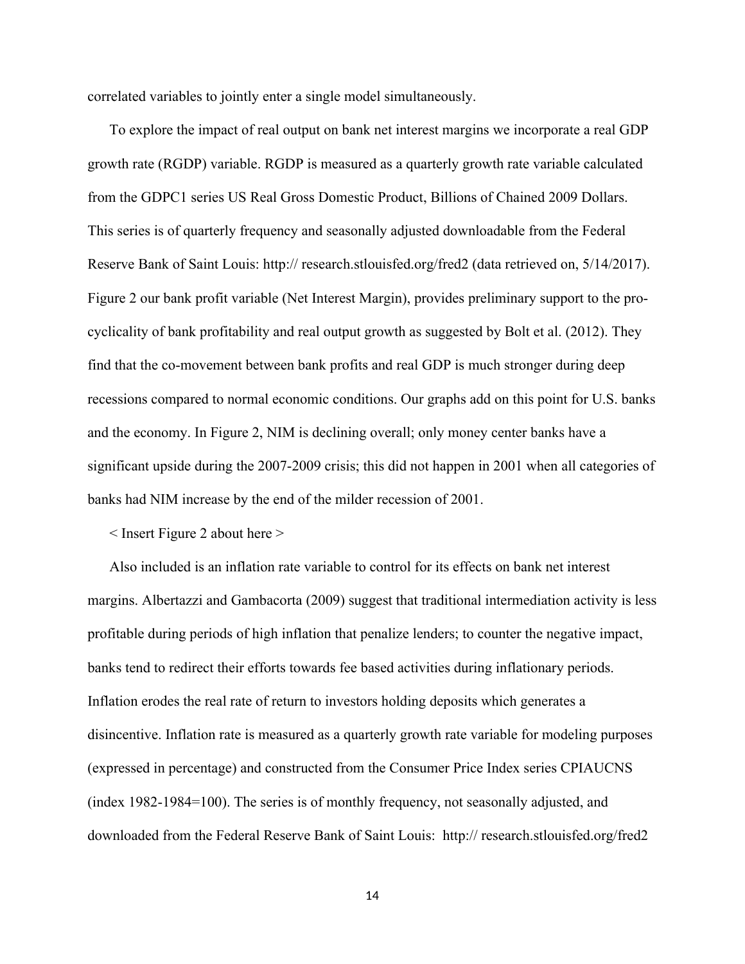correlated variables to jointly enter a single model simultaneously.

To explore the impact of real output on bank net interest margins we incorporate a real GDP growth rate (RGDP) variable. RGDP is measured as a quarterly growth rate variable calculated from the GDPC1 series US Real Gross Domestic Product, Billions of Chained 2009 Dollars. This series is of quarterly frequency and seasonally adjusted downloadable from the Federal Reserve Bank of Saint Louis: http:// research.stlouisfed.org/fred2 (data retrieved on, 5/14/2017). Figure 2 our bank profit variable (Net Interest Margin), provides preliminary support to the procyclicality of bank profitability and real output growth as suggested by Bolt et al. (2012). They find that the co-movement between bank profits and real GDP is much stronger during deep recessions compared to normal economic conditions. Our graphs add on this point for U.S. banks and the economy. In Figure 2, NIM is declining overall; only money center banks have a significant upside during the 2007-2009 crisis; this did not happen in 2001 when all categories of banks had NIM increase by the end of the milder recession of 2001.

< Insert Figure 2 about here >

Also included is an inflation rate variable to control for its effects on bank net interest margins. Albertazzi and Gambacorta (2009) suggest that traditional intermediation activity is less profitable during periods of high inflation that penalize lenders; to counter the negative impact, banks tend to redirect their efforts towards fee based activities during inflationary periods. Inflation erodes the real rate of return to investors holding deposits which generates a disincentive. Inflation rate is measured as a quarterly growth rate variable for modeling purposes (expressed in percentage) and constructed from the Consumer Price Index series CPIAUCNS (index 1982-1984=100). The series is of monthly frequency, not seasonally adjusted, and downloaded from the Federal Reserve Bank of Saint Louis: http:// research.stlouisfed.org/fred2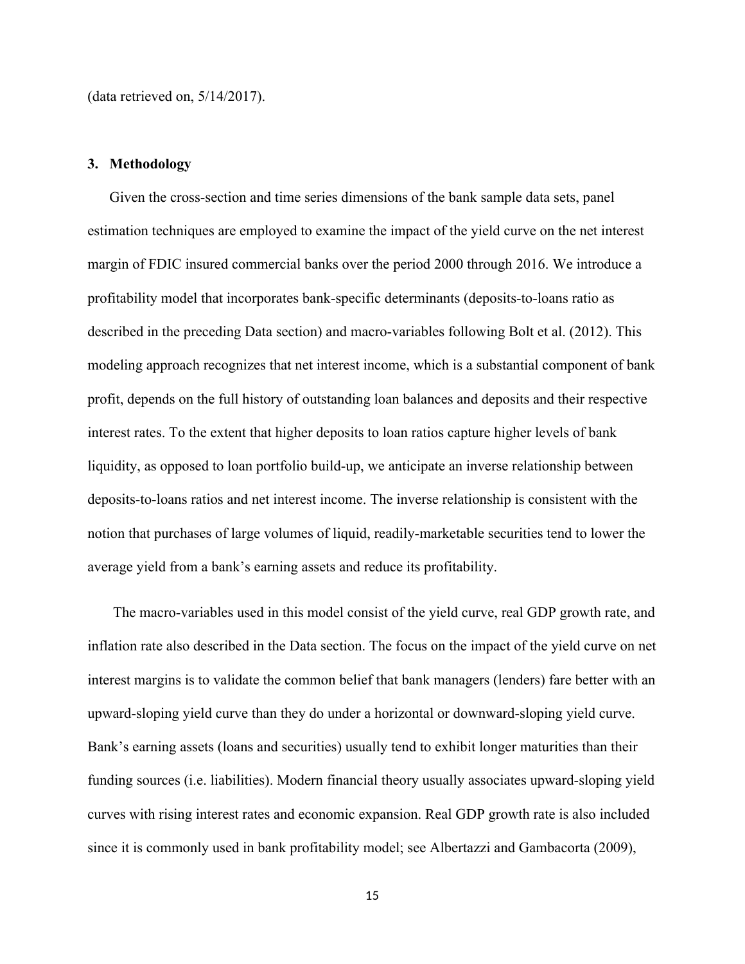(data retrieved on, 5/14/2017).

#### **3. Methodology**

Given the cross-section and time series dimensions of the bank sample data sets, panel estimation techniques are employed to examine the impact of the yield curve on the net interest margin of FDIC insured commercial banks over the period 2000 through 2016. We introduce a profitability model that incorporates bank-specific determinants (deposits-to-loans ratio as described in the preceding Data section) and macro-variables following Bolt et al. (2012). This modeling approach recognizes that net interest income, which is a substantial component of bank profit, depends on the full history of outstanding loan balances and deposits and their respective interest rates. To the extent that higher deposits to loan ratios capture higher levels of bank liquidity, as opposed to loan portfolio build-up, we anticipate an inverse relationship between deposits-to-loans ratios and net interest income. The inverse relationship is consistent with the notion that purchases of large volumes of liquid, readily-marketable securities tend to lower the average yield from a bank's earning assets and reduce its profitability.

 The macro-variables used in this model consist of the yield curve, real GDP growth rate, and inflation rate also described in the Data section. The focus on the impact of the yield curve on net interest margins is to validate the common belief that bank managers (lenders) fare better with an upward-sloping yield curve than they do under a horizontal or downward-sloping yield curve. Bank's earning assets (loans and securities) usually tend to exhibit longer maturities than their funding sources (i.e. liabilities). Modern financial theory usually associates upward-sloping yield curves with rising interest rates and economic expansion. Real GDP growth rate is also included since it is commonly used in bank profitability model; see Albertazzi and Gambacorta (2009),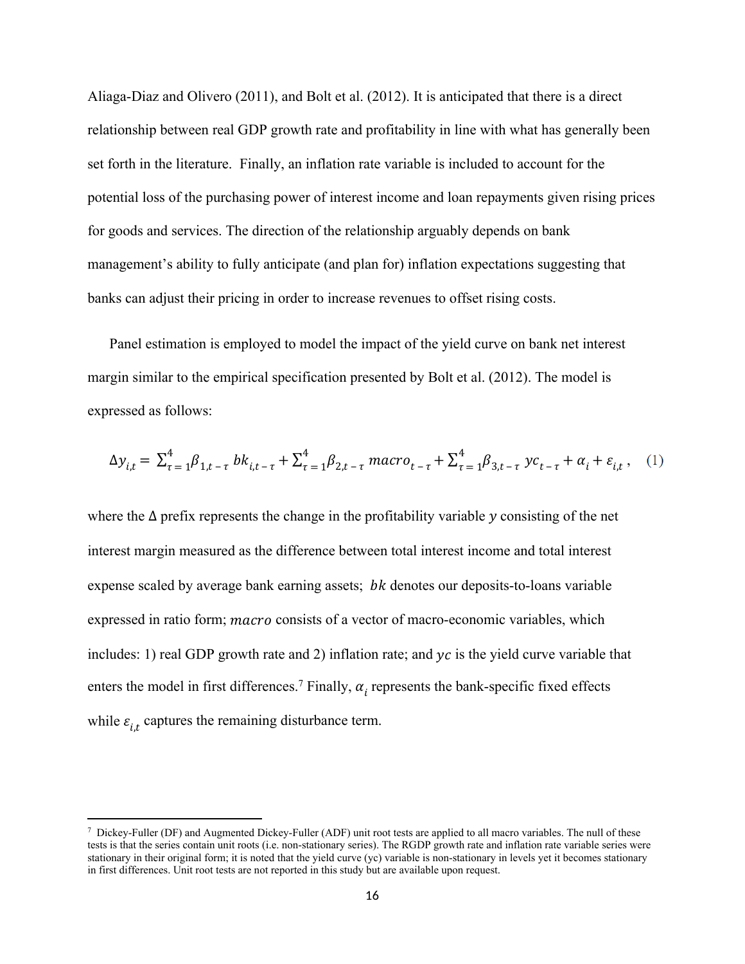Aliaga-Diaz and Olivero (2011), and Bolt et al. (2012). It is anticipated that there is a direct relationship between real GDP growth rate and profitability in line with what has generally been set forth in the literature. Finally, an inflation rate variable is included to account for the potential loss of the purchasing power of interest income and loan repayments given rising prices for goods and services. The direction of the relationship arguably depends on bank management's ability to fully anticipate (and plan for) inflation expectations suggesting that banks can adjust their pricing in order to increase revenues to offset rising costs.

Panel estimation is employed to model the impact of the yield curve on bank net interest margin similar to the empirical specification presented by Bolt et al. (2012). The model is expressed as follows:

$$
\Delta y_{i,t} = \sum_{\tau=1}^{4} \beta_{1,t-\tau} b k_{i,t-\tau} + \sum_{\tau=1}^{4} \beta_{2,t-\tau} macc \tau_{t-\tau} + \sum_{\tau=1}^{4} \beta_{3,t-\tau} y c_{t-\tau} + \alpha_i + \varepsilon_{i,t}, \quad (1)
$$

where the  $\Delta$  prefix represents the change in the profitability variable y consisting of the net interest margin measured as the difference between total interest income and total interest expense scaled by average bank earning assets;  $bk$  denotes our deposits-to-loans variable expressed in ratio form; *macro* consists of a vector of macro-economic variables, which includes: 1) real GDP growth rate and 2) inflation rate; and  $\gamma c$  is the yield curve variable that enters the model in first differences.<sup>7</sup> Finally,  $\alpha_i$  represents the bank-specific fixed effects while  $\varepsilon_{i,t}$  captures the remaining disturbance term.

<sup>7</sup> Dickey-Fuller (DF) and Augmented Dickey-Fuller (ADF) unit root tests are applied to all macro variables. The null of these tests is that the series contain unit roots (i.e. non-stationary series). The RGDP growth rate and inflation rate variable series were stationary in their original form; it is noted that the yield curve (yc) variable is non-stationary in levels yet it becomes stationary in first differences. Unit root tests are not reported in this study but are available upon request.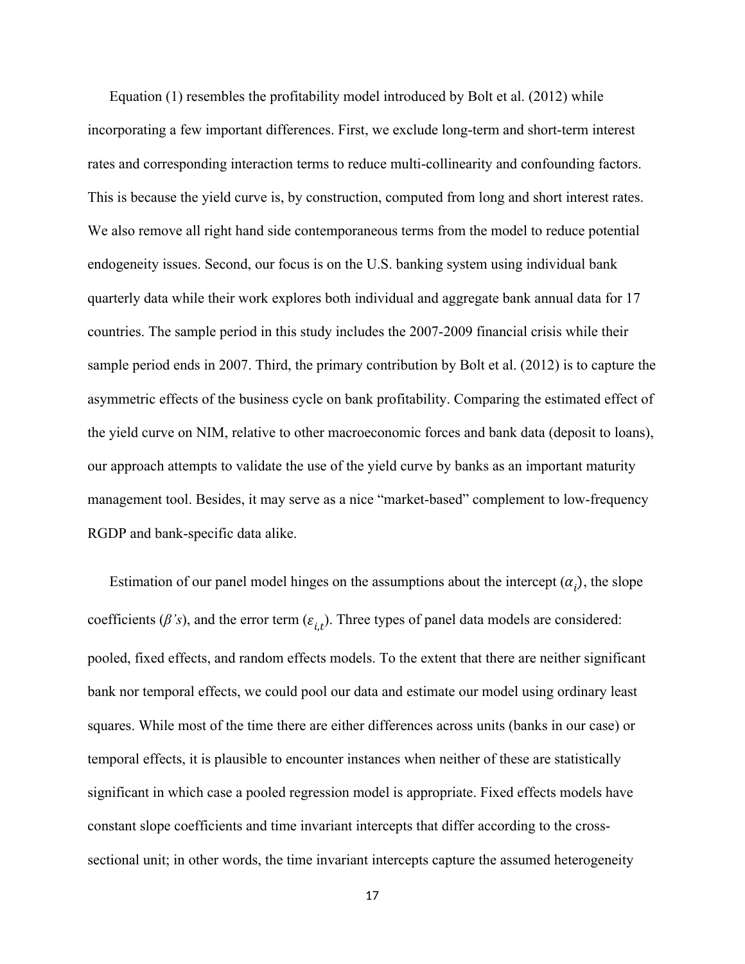Equation (1) resembles the profitability model introduced by Bolt et al. (2012) while incorporating a few important differences. First, we exclude long-term and short-term interest rates and corresponding interaction terms to reduce multi-collinearity and confounding factors. This is because the yield curve is, by construction, computed from long and short interest rates. We also remove all right hand side contemporaneous terms from the model to reduce potential endogeneity issues. Second, our focus is on the U.S. banking system using individual bank quarterly data while their work explores both individual and aggregate bank annual data for 17 countries. The sample period in this study includes the 2007-2009 financial crisis while their sample period ends in 2007. Third, the primary contribution by Bolt et al. (2012) is to capture the asymmetric effects of the business cycle on bank profitability. Comparing the estimated effect of the yield curve on NIM, relative to other macroeconomic forces and bank data (deposit to loans), our approach attempts to validate the use of the yield curve by banks as an important maturity management tool. Besides, it may serve as a nice "market-based" complement to low-frequency RGDP and bank-specific data alike.

Estimation of our panel model hinges on the assumptions about the intercept  $(\alpha_i)$ , the slope coefficients ( $\beta$ 's), and the error term ( $\varepsilon_{i,t}$ ). Three types of panel data models are considered: pooled, fixed effects, and random effects models. To the extent that there are neither significant bank nor temporal effects, we could pool our data and estimate our model using ordinary least squares. While most of the time there are either differences across units (banks in our case) or temporal effects, it is plausible to encounter instances when neither of these are statistically significant in which case a pooled regression model is appropriate. Fixed effects models have constant slope coefficients and time invariant intercepts that differ according to the crosssectional unit; in other words, the time invariant intercepts capture the assumed heterogeneity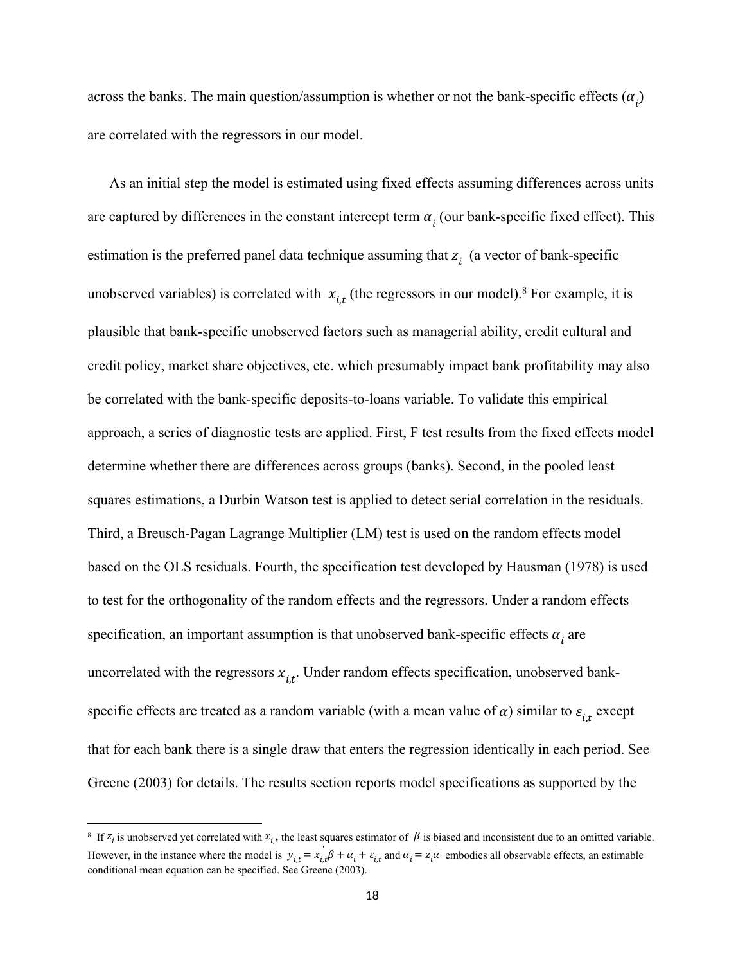across the banks. The main question/assumption is whether or not the bank-specific effects  $(\alpha_i)$ are correlated with the regressors in our model.

As an initial step the model is estimated using fixed effects assuming differences across units are captured by differences in the constant intercept term  $\alpha_i$  (our bank-specific fixed effect). This estimation is the preferred panel data technique assuming that  $z_i$  (a vector of bank-specific unobserved variables) is correlated with  $x_{i,t}$  (the regressors in our model).<sup>8</sup> For example, it is plausible that bank-specific unobserved factors such as managerial ability, credit cultural and credit policy, market share objectives, etc. which presumably impact bank profitability may also be correlated with the bank-specific deposits-to-loans variable. To validate this empirical approach, a series of diagnostic tests are applied. First, F test results from the fixed effects model determine whether there are differences across groups (banks). Second, in the pooled least squares estimations, a Durbin Watson test is applied to detect serial correlation in the residuals. Third, a Breusch-Pagan Lagrange Multiplier (LM) test is used on the random effects model based on the OLS residuals. Fourth, the specification test developed by Hausman (1978) is used to test for the orthogonality of the random effects and the regressors. Under a random effects specification, an important assumption is that unobserved bank-specific effects  $\alpha_i$  are uncorrelated with the regressors  $x_{i,t}$ . Under random effects specification, unobserved bankspecific effects are treated as a random variable (with a mean value of  $\alpha$ ) similar to  $\varepsilon_{i,t}$  except that for each bank there is a single draw that enters the regression identically in each period. See Greene (2003) for details. The results section reports model specifications as supported by the

<sup>&</sup>lt;sup>8</sup> If  $z_i$  is unobserved yet correlated with  $x_{i,t}$  the least squares estimator of  $\beta$  is biased and inconsistent due to an omitted variable. However, in the instance where the model is  $y_{i,t} = x_{i,t} \beta + \alpha_i + \varepsilon_{i,t}$  and  $\alpha_i = z_i \alpha$  embodies all observable effects, an estimable conditional mean equation can be specified. See Greene (2003).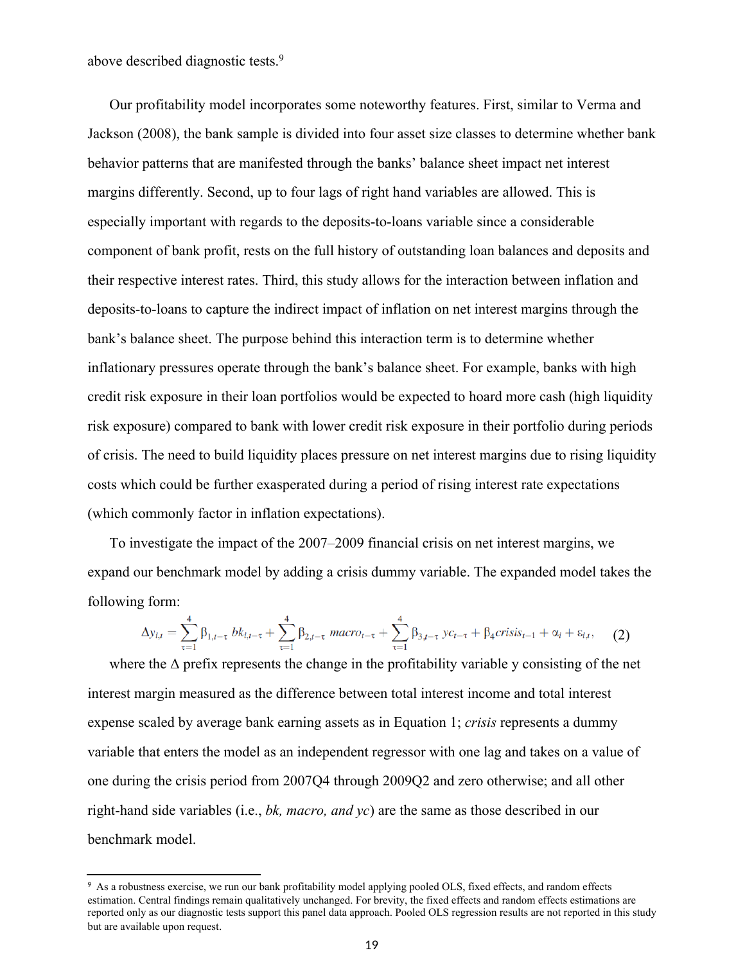above described diagnostic tests.<sup>9</sup>

Our profitability model incorporates some noteworthy features. First, similar to Verma and Jackson (2008), the bank sample is divided into four asset size classes to determine whether bank behavior patterns that are manifested through the banks' balance sheet impact net interest margins differently. Second, up to four lags of right hand variables are allowed. This is especially important with regards to the deposits-to-loans variable since a considerable component of bank profit, rests on the full history of outstanding loan balances and deposits and their respective interest rates. Third, this study allows for the interaction between inflation and deposits-to-loans to capture the indirect impact of inflation on net interest margins through the bank's balance sheet. The purpose behind this interaction term is to determine whether inflationary pressures operate through the bank's balance sheet. For example, banks with high credit risk exposure in their loan portfolios would be expected to hoard more cash (high liquidity risk exposure) compared to bank with lower credit risk exposure in their portfolio during periods of crisis. The need to build liquidity places pressure on net interest margins due to rising liquidity costs which could be further exasperated during a period of rising interest rate expectations (which commonly factor in inflation expectations).

To investigate the impact of the 2007–2009 financial crisis on net interest margins, we expand our benchmark model by adding a crisis dummy variable. The expanded model takes the following form:

$$
\Delta y_{i,t} = \sum_{\tau=1}^4 \beta_{1,t-\tau} b k_{i,t-\tau} + \sum_{\tau=1}^4 \beta_{2,t-\tau} macc_{t-\tau} + \sum_{\tau=1}^4 \beta_{3,t-\tau} y c_{t-\tau} + \beta_4 crisis_{t-1} + \alpha_i + \varepsilon_{i,t}, \quad (2)
$$

where the  $\Delta$  prefix represents the change in the profitability variable y consisting of the net interest margin measured as the difference between total interest income and total interest expense scaled by average bank earning assets as in Equation 1; *crisis* represents a dummy variable that enters the model as an independent regressor with one lag and takes on a value of one during the crisis period from 2007Q4 through 2009Q2 and zero otherwise; and all other right-hand side variables (i.e., *bk, macro, and yc*) are the same as those described in our benchmark model.

<sup>9</sup> As a robustness exercise, we run our bank profitability model applying pooled OLS, fixed effects, and random effects estimation. Central findings remain qualitatively unchanged. For brevity, the fixed effects and random effects estimations are reported only as our diagnostic tests support this panel data approach. Pooled OLS regression results are not reported in this study but are available upon request.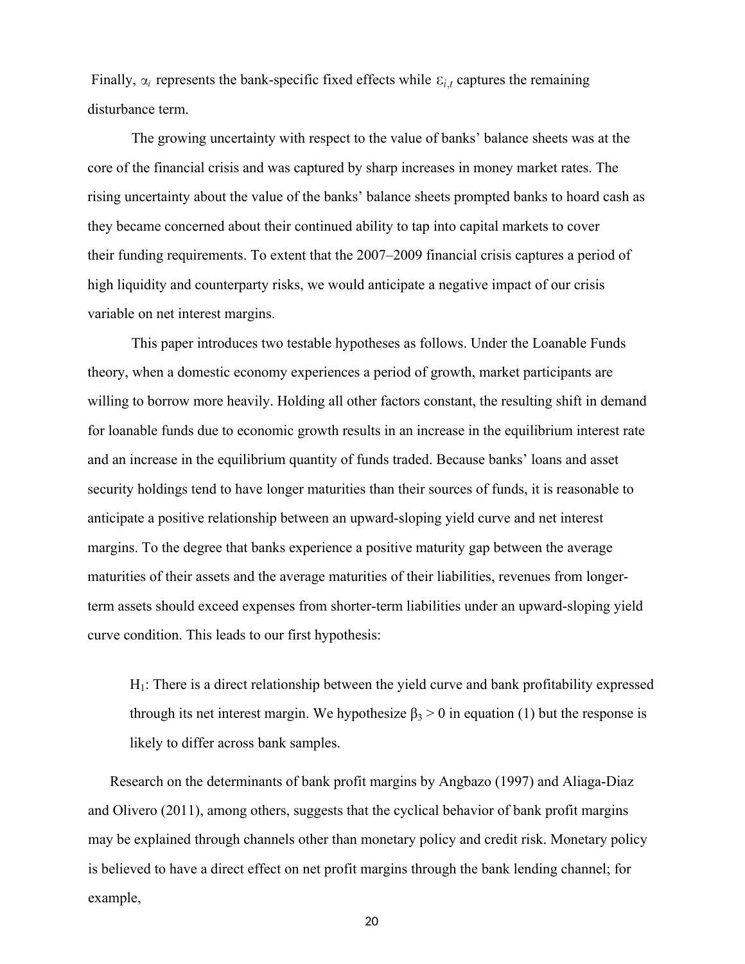Finally,  $\alpha_i$  represents the bank-specific fixed effects while  $\varepsilon_{i,t}$  captures the remaining disturbance term.

The growing uncertainty with respect to the value of banks' balance sheets was at the core of the financial crisis and was captured by sharp increases in money market rates. The rising uncertainty about the value of the banks' balance sheets prompted banks to hoard cash as they became concerned about their continued ability to tap into capital markets to cover their funding requirements. To extent that the 2007–2009 financial crisis captures a period of high liquidity and counterparty risks, we would anticipate a negative impact of our crisis variable on net interest margins.

This paper introduces two testable hypotheses as follows. Under the Loanable Funds theory, when a domestic economy experiences a period of growth, market participants are willing to borrow more heavily. Holding all other factors constant, the resulting shift in demand for loanable funds due to economic growth results in an increase in the equilibrium interest rate and an increase in the equilibrium quantity of funds traded. Because banks' loans and asset security holdings tend to have longer maturities than their sources of funds, it is reasonable to anticipate a positive relationship between an upward-sloping yield curve and net interest margins. To the degree that banks experience a positive maturity gap between the average maturities of their assets and the average maturities of their liabilities, revenues from longerterm assets should exceed expenses from shorter-term liabilities under an upward-sloping yield curve condition. This leads to our first hypothesis:

 $H<sub>1</sub>$ : There is a direct relationship between the yield curve and bank profitability expressed through its net interest margin. We hypothesize  $\beta_3 > 0$  in equation (1) but the response is likely to differ across bank samples.

Research on the determinants of bank profit margins by Angbazo (1997) and Aliaga-Diaz and Olivero (2011), among others, suggests that the cyclical behavior of bank profit margins may be explained through channels other than monetary policy and credit risk. Monetary policy is believed to have a direct effect on net profit margins through the bank lending channel; for example,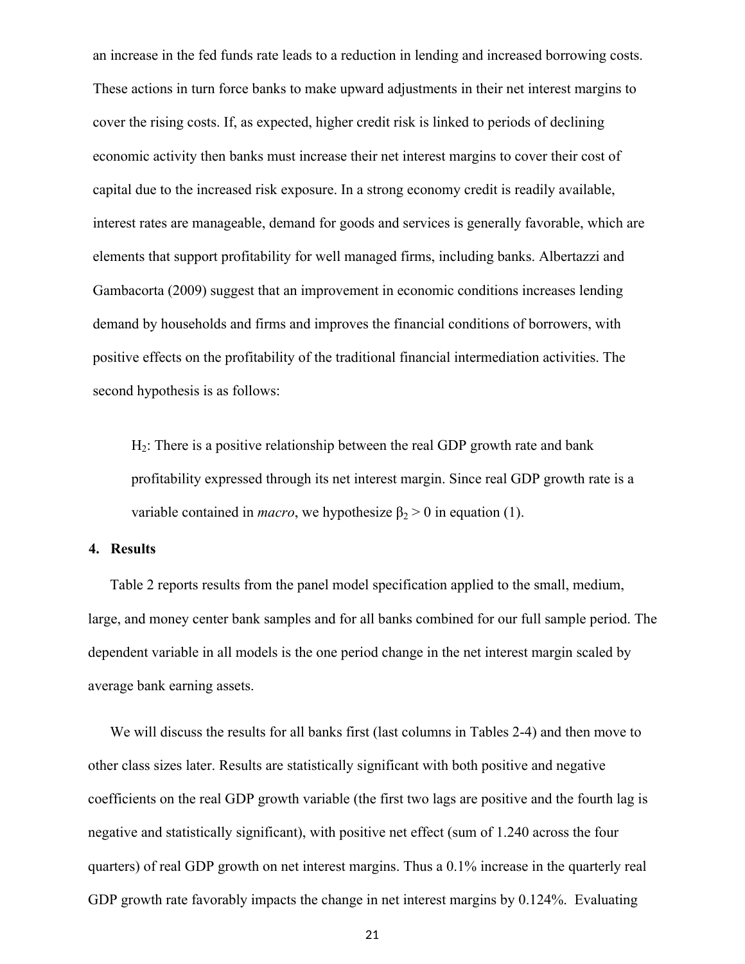an increase in the fed funds rate leads to a reduction in lending and increased borrowing costs. These actions in turn force banks to make upward adjustments in their net interest margins to cover the rising costs. If, as expected, higher credit risk is linked to periods of declining economic activity then banks must increase their net interest margins to cover their cost of capital due to the increased risk exposure. In a strong economy credit is readily available, interest rates are manageable, demand for goods and services is generally favorable, which are elements that support profitability for well managed firms, including banks. Albertazzi and Gambacorta (2009) suggest that an improvement in economic conditions increases lending demand by households and firms and improves the financial conditions of borrowers, with positive effects on the profitability of the traditional financial intermediation activities. The second hypothesis is as follows:

 $H<sub>2</sub>$ : There is a positive relationship between the real GDP growth rate and bank profitability expressed through its net interest margin. Since real GDP growth rate is a variable contained in *macro*, we hypothesize  $\beta_2 > 0$  in equation (1).

#### **4. Results**

Table 2 reports results from the panel model specification applied to the small, medium, large, and money center bank samples and for all banks combined for our full sample period. The dependent variable in all models is the one period change in the net interest margin scaled by average bank earning assets.

We will discuss the results for all banks first (last columns in Tables 2-4) and then move to other class sizes later. Results are statistically significant with both positive and negative coefficients on the real GDP growth variable (the first two lags are positive and the fourth lag is negative and statistically significant), with positive net effect (sum of 1.240 across the four quarters) of real GDP growth on net interest margins. Thus a 0.1% increase in the quarterly real GDP growth rate favorably impacts the change in net interest margins by 0.124%. Evaluating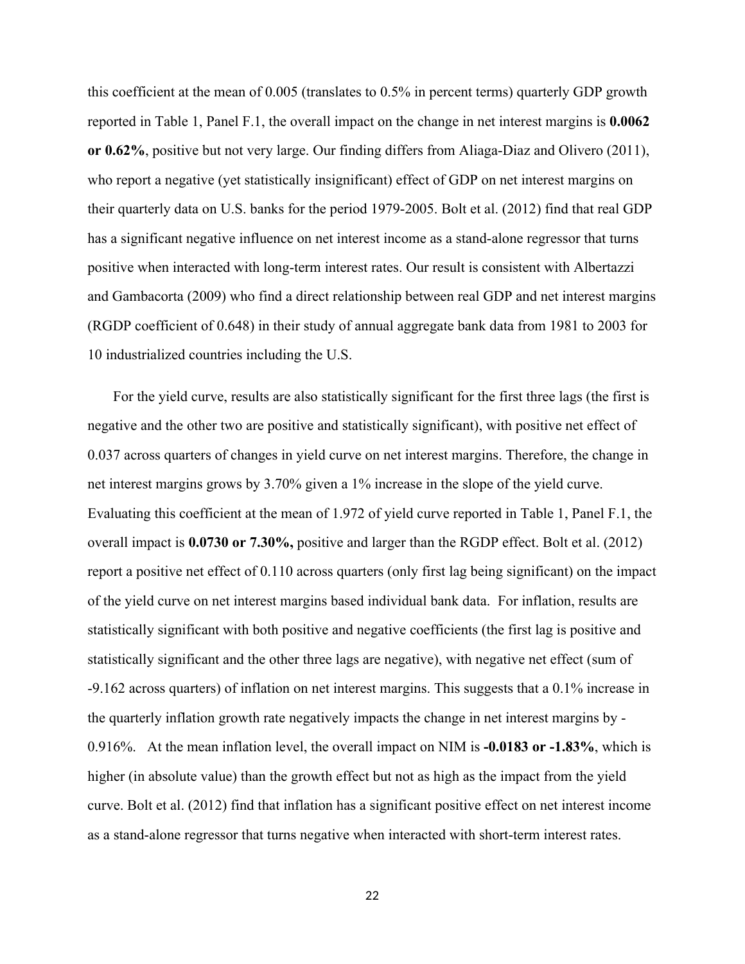this coefficient at the mean of 0.005 (translates to 0.5% in percent terms) quarterly GDP growth reported in Table 1, Panel F.1, the overall impact on the change in net interest margins is **0.0062 or 0.62%**, positive but not very large. Our finding differs from Aliaga-Diaz and Olivero (2011), who report a negative (yet statistically insignificant) effect of GDP on net interest margins on their quarterly data on U.S. banks for the period 1979-2005. Bolt et al. (2012) find that real GDP has a significant negative influence on net interest income as a stand-alone regressor that turns positive when interacted with long-term interest rates. Our result is consistent with Albertazzi and Gambacorta (2009) who find a direct relationship between real GDP and net interest margins (RGDP coefficient of 0.648) in their study of annual aggregate bank data from 1981 to 2003 for 10 industrialized countries including the U.S.

 For the yield curve, results are also statistically significant for the first three lags (the first is negative and the other two are positive and statistically significant), with positive net effect of 0.037 across quarters of changes in yield curve on net interest margins. Therefore, the change in net interest margins grows by 3.70% given a 1% increase in the slope of the yield curve. Evaluating this coefficient at the mean of 1.972 of yield curve reported in Table 1, Panel F.1, the overall impact is **0.0730 or 7.30%,** positive and larger than the RGDP effect. Bolt et al. (2012) report a positive net effect of 0.110 across quarters (only first lag being significant) on the impact of the yield curve on net interest margins based individual bank data. For inflation, results are statistically significant with both positive and negative coefficients (the first lag is positive and statistically significant and the other three lags are negative), with negative net effect (sum of -9.162 across quarters) of inflation on net interest margins. This suggests that a 0.1% increase in the quarterly inflation growth rate negatively impacts the change in net interest margins by - 0.916%. At the mean inflation level, the overall impact on NIM is **-0.0183 or -1.83%**, which is higher (in absolute value) than the growth effect but not as high as the impact from the yield curve. Bolt et al. (2012) find that inflation has a significant positive effect on net interest income as a stand-alone regressor that turns negative when interacted with short-term interest rates.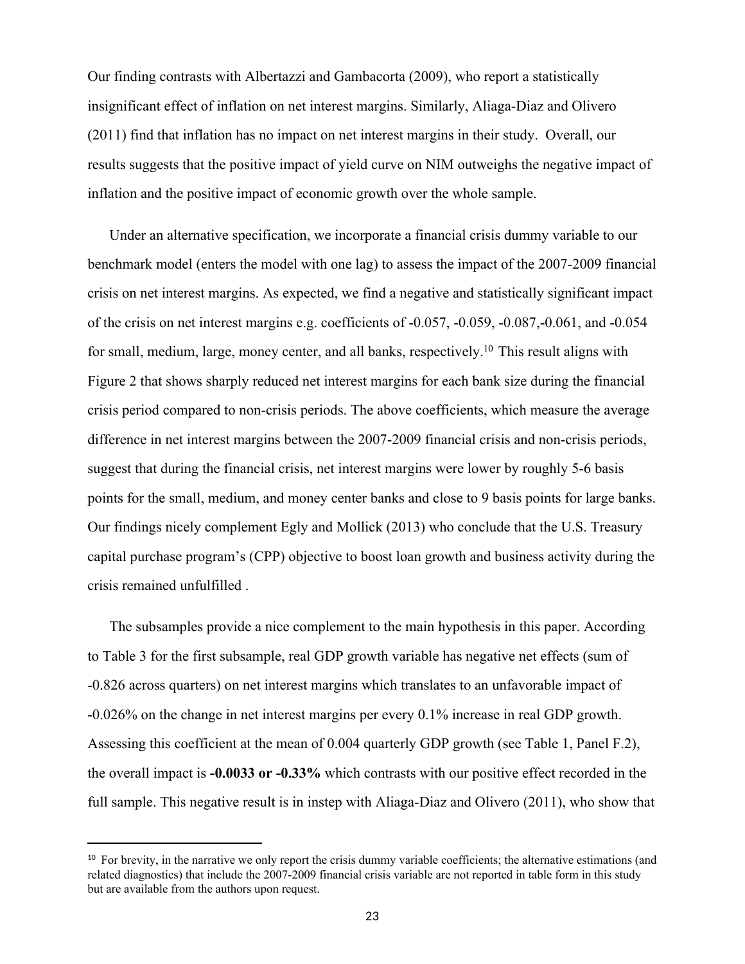Our finding contrasts with Albertazzi and Gambacorta (2009), who report a statistically insignificant effect of inflation on net interest margins. Similarly, Aliaga-Diaz and Olivero (2011) find that inflation has no impact on net interest margins in their study. Overall, our results suggests that the positive impact of yield curve on NIM outweighs the negative impact of inflation and the positive impact of economic growth over the whole sample.

Under an alternative specification, we incorporate a financial crisis dummy variable to our benchmark model (enters the model with one lag) to assess the impact of the 2007-2009 financial crisis on net interest margins. As expected, we find a negative and statistically significant impact of the crisis on net interest margins e.g. coefficients of -0.057, -0.059, -0.087,-0.061, and -0.054 for small, medium, large, money center, and all banks, respectively.<sup>10</sup> This result aligns with Figure 2 that shows sharply reduced net interest margins for each bank size during the financial crisis period compared to non-crisis periods. The above coefficients, which measure the average difference in net interest margins between the 2007-2009 financial crisis and non-crisis periods, suggest that during the financial crisis, net interest margins were lower by roughly 5-6 basis points for the small, medium, and money center banks and close to 9 basis points for large banks. Our findings nicely complement Egly and Mollick (2013) who conclude that the U.S. Treasury capital purchase program's (CPP) objective to boost loan growth and business activity during the crisis remained unfulfilled .

The subsamples provide a nice complement to the main hypothesis in this paper. According to Table 3 for the first subsample, real GDP growth variable has negative net effects (sum of -0.826 across quarters) on net interest margins which translates to an unfavorable impact of -0.026% on the change in net interest margins per every 0.1% increase in real GDP growth. Assessing this coefficient at the mean of 0.004 quarterly GDP growth (see Table 1, Panel F.2), the overall impact is **-0.0033 or -0.33%** which contrasts with our positive effect recorded in the full sample. This negative result is in instep with Aliaga-Diaz and Olivero (2011), who show that

<sup>&</sup>lt;sup>10</sup> For brevity, in the narrative we only report the crisis dummy variable coefficients; the alternative estimations (and related diagnostics) that include the 2007-2009 financial crisis variable are not reported in table form in this study but are available from the authors upon request.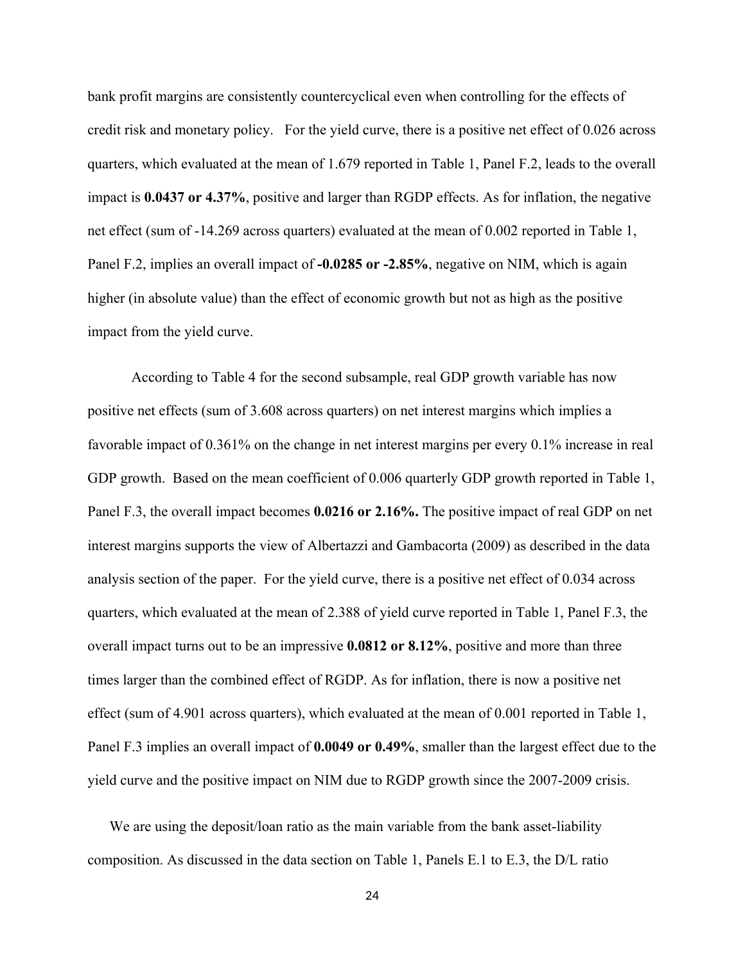bank profit margins are consistently countercyclical even when controlling for the effects of credit risk and monetary policy. For the yield curve, there is a positive net effect of 0.026 across quarters, which evaluated at the mean of 1.679 reported in Table 1, Panel F.2, leads to the overall impact is **0.0437 or 4.37%**, positive and larger than RGDP effects. As for inflation, the negative net effect (sum of -14.269 across quarters) evaluated at the mean of 0.002 reported in Table 1, Panel F.2, implies an overall impact of **-0.0285 or -2.85%**, negative on NIM, which is again higher (in absolute value) than the effect of economic growth but not as high as the positive impact from the yield curve.

According to Table 4 for the second subsample, real GDP growth variable has now positive net effects (sum of 3.608 across quarters) on net interest margins which implies a favorable impact of 0.361% on the change in net interest margins per every 0.1% increase in real GDP growth. Based on the mean coefficient of 0.006 quarterly GDP growth reported in Table 1, Panel F.3, the overall impact becomes **0.0216 or 2.16%.** The positive impact of real GDP on net interest margins supports the view of Albertazzi and Gambacorta (2009) as described in the data analysis section of the paper.For the yield curve, there is a positive net effect of 0.034 across quarters, which evaluated at the mean of 2.388 of yield curve reported in Table 1, Panel F.3, the overall impact turns out to be an impressive **0.0812 or 8.12%**, positive and more than three times larger than the combined effect of RGDP. As for inflation, there is now a positive net effect (sum of 4.901 across quarters), which evaluated at the mean of 0.001 reported in Table 1, Panel F.3 implies an overall impact of **0.0049 or 0.49%**, smaller than the largest effect due to the yield curve and the positive impact on NIM due to RGDP growth since the 2007-2009 crisis.

We are using the deposit/loan ratio as the main variable from the bank asset-liability composition. As discussed in the data section on Table 1, Panels E.1 to E.3, the D/L ratio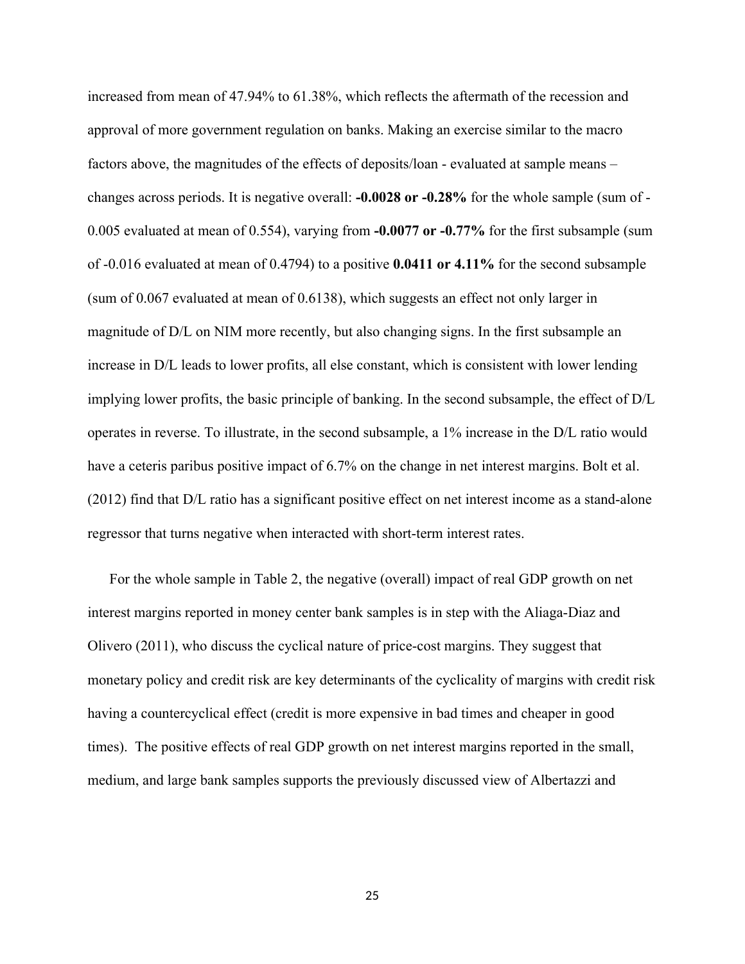increased from mean of 47.94% to 61.38%, which reflects the aftermath of the recession and approval of more government regulation on banks. Making an exercise similar to the macro factors above, the magnitudes of the effects of deposits/loan - evaluated at sample means – changes across periods. It is negative overall: **-0.0028 or -0.28%** for the whole sample (sum of - 0.005 evaluated at mean of 0.554), varying from **-0.0077 or -0.77%** for the first subsample (sum of -0.016 evaluated at mean of 0.4794) to a positive **0.0411 or 4.11%** for the second subsample (sum of 0.067 evaluated at mean of 0.6138), which suggests an effect not only larger in magnitude of D/L on NIM more recently, but also changing signs. In the first subsample an increase in D/L leads to lower profits, all else constant, which is consistent with lower lending implying lower profits, the basic principle of banking. In the second subsample, the effect of D/L operates in reverse. To illustrate, in the second subsample, a 1% increase in the D/L ratio would have a ceteris paribus positive impact of 6.7% on the change in net interest margins. Bolt et al. (2012) find that D/L ratio has a significant positive effect on net interest income as a stand-alone regressor that turns negative when interacted with short-term interest rates.

For the whole sample in Table 2, the negative (overall) impact of real GDP growth on net interest margins reported in money center bank samples is in step with the Aliaga-Diaz and Olivero (2011), who discuss the cyclical nature of price-cost margins. They suggest that monetary policy and credit risk are key determinants of the cyclicality of margins with credit risk having a countercyclical effect (credit is more expensive in bad times and cheaper in good times). The positive effects of real GDP growth on net interest margins reported in the small, medium, and large bank samples supports the previously discussed view of Albertazzi and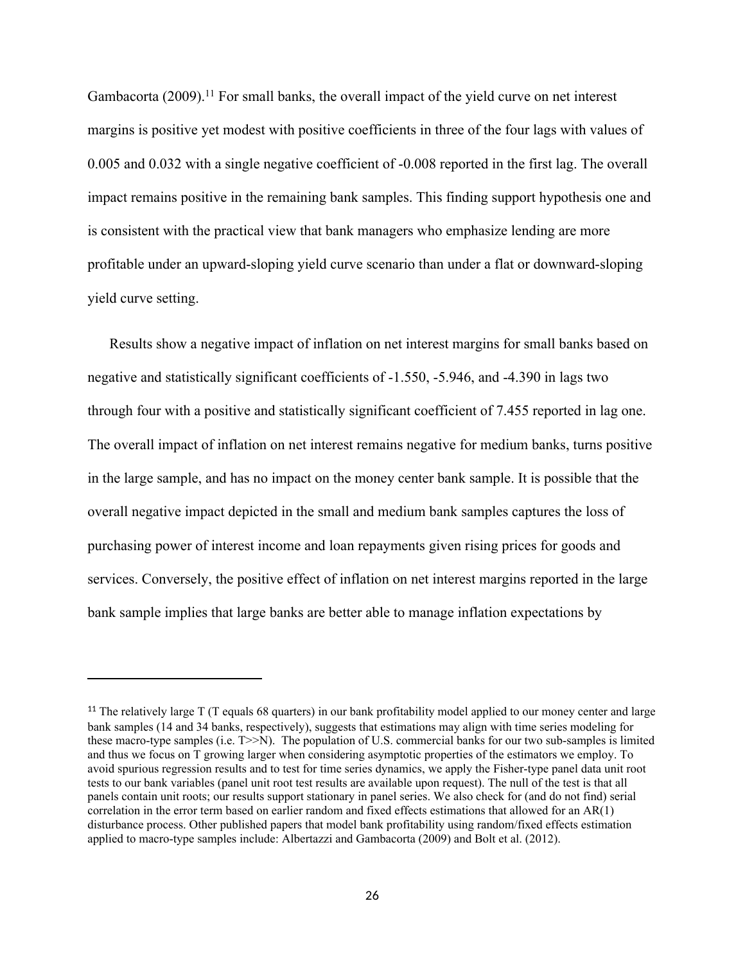Gambacorta (2009).<sup>11</sup> For small banks, the overall impact of the yield curve on net interest margins is positive yet modest with positive coefficients in three of the four lags with values of 0.005 and 0.032 with a single negative coefficient of -0.008 reported in the first lag. The overall impact remains positive in the remaining bank samples. This finding support hypothesis one and is consistent with the practical view that bank managers who emphasize lending are more profitable under an upward-sloping yield curve scenario than under a flat or downward-sloping yield curve setting.

Results show a negative impact of inflation on net interest margins for small banks based on negative and statistically significant coefficients of -1.550, -5.946, and -4.390 in lags two through four with a positive and statistically significant coefficient of 7.455 reported in lag one. The overall impact of inflation on net interest remains negative for medium banks, turns positive in the large sample, and has no impact on the money center bank sample. It is possible that the overall negative impact depicted in the small and medium bank samples captures the loss of purchasing power of interest income and loan repayments given rising prices for goods and services. Conversely, the positive effect of inflation on net interest margins reported in the large bank sample implies that large banks are better able to manage inflation expectations by

<sup>&</sup>lt;sup>11</sup> The relatively large T (T equals 68 quarters) in our bank profitability model applied to our money center and large bank samples (14 and 34 banks, respectively), suggests that estimations may align with time series modeling for these macro-type samples (i.e. T>>N). The population of U.S. commercial banks for our two sub-samples is limited and thus we focus on T growing larger when considering asymptotic properties of the estimators we employ. To avoid spurious regression results and to test for time series dynamics, we apply the Fisher-type panel data unit root tests to our bank variables (panel unit root test results are available upon request). The null of the test is that all panels contain unit roots; our results support stationary in panel series. We also check for (and do not find) serial correlation in the error term based on earlier random and fixed effects estimations that allowed for an AR(1) disturbance process. Other published papers that model bank profitability using random/fixed effects estimation applied to macro-type samples include: Albertazzi and Gambacorta (2009) and Bolt et al. (2012).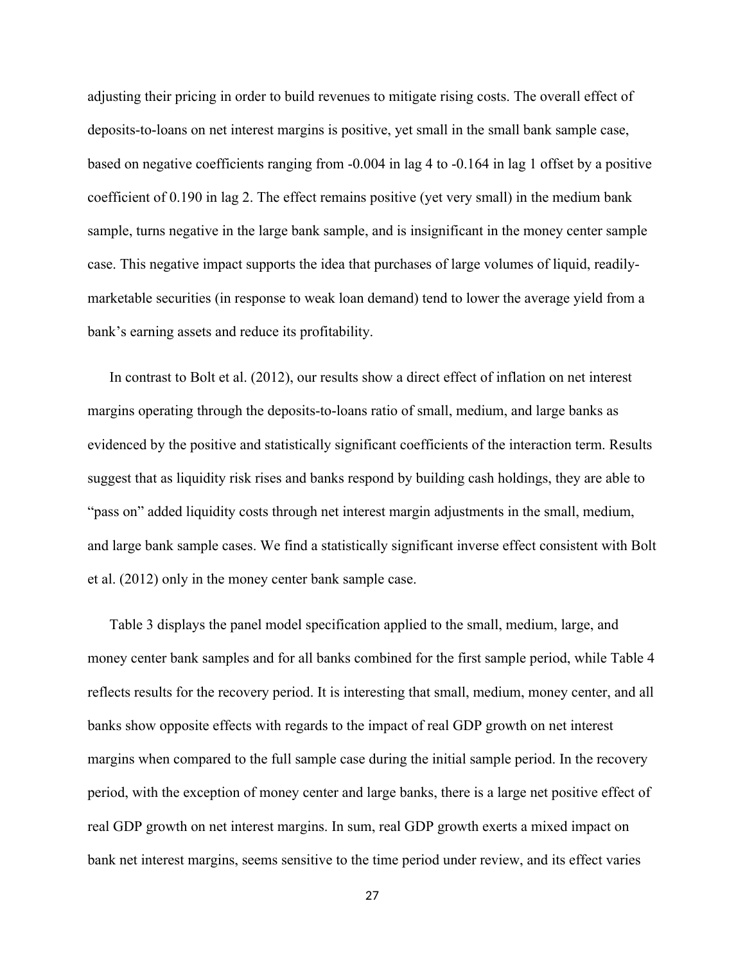adjusting their pricing in order to build revenues to mitigate rising costs. The overall effect of deposits-to-loans on net interest margins is positive, yet small in the small bank sample case, based on negative coefficients ranging from -0.004 in lag 4 to -0.164 in lag 1 offset by a positive coefficient of 0.190 in lag 2. The effect remains positive (yet very small) in the medium bank sample, turns negative in the large bank sample, and is insignificant in the money center sample case. This negative impact supports the idea that purchases of large volumes of liquid, readilymarketable securities (in response to weak loan demand) tend to lower the average yield from a bank's earning assets and reduce its profitability.

In contrast to Bolt et al. (2012), our results show a direct effect of inflation on net interest margins operating through the deposits-to-loans ratio of small, medium, and large banks as evidenced by the positive and statistically significant coefficients of the interaction term. Results suggest that as liquidity risk rises and banks respond by building cash holdings, they are able to "pass on" added liquidity costs through net interest margin adjustments in the small, medium, and large bank sample cases. We find a statistically significant inverse effect consistent with Bolt et al. (2012) only in the money center bank sample case.

Table 3 displays the panel model specification applied to the small, medium, large, and money center bank samples and for all banks combined for the first sample period, while Table 4 reflects results for the recovery period. It is interesting that small, medium, money center, and all banks show opposite effects with regards to the impact of real GDP growth on net interest margins when compared to the full sample case during the initial sample period. In the recovery period, with the exception of money center and large banks, there is a large net positive effect of real GDP growth on net interest margins. In sum, real GDP growth exerts a mixed impact on bank net interest margins, seems sensitive to the time period under review, and its effect varies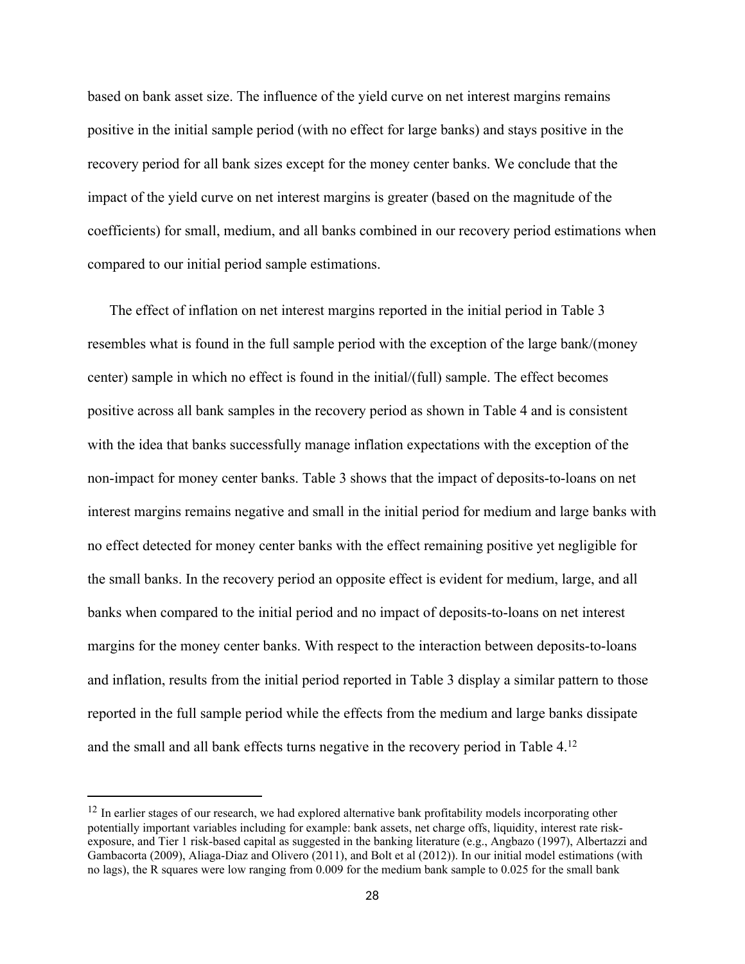based on bank asset size. The influence of the yield curve on net interest margins remains positive in the initial sample period (with no effect for large banks) and stays positive in the recovery period for all bank sizes except for the money center banks. We conclude that the impact of the yield curve on net interest margins is greater (based on the magnitude of the coefficients) for small, medium, and all banks combined in our recovery period estimations when compared to our initial period sample estimations.

The effect of inflation on net interest margins reported in the initial period in Table 3 resembles what is found in the full sample period with the exception of the large bank/(money center) sample in which no effect is found in the initial/(full) sample. The effect becomes positive across all bank samples in the recovery period as shown in Table 4 and is consistent with the idea that banks successfully manage inflation expectations with the exception of the non-impact for money center banks. Table 3 shows that the impact of deposits-to-loans on net interest margins remains negative and small in the initial period for medium and large banks with no effect detected for money center banks with the effect remaining positive yet negligible for the small banks. In the recovery period an opposite effect is evident for medium, large, and all banks when compared to the initial period and no impact of deposits-to-loans on net interest margins for the money center banks. With respect to the interaction between deposits-to-loans and inflation, results from the initial period reported in Table 3 display a similar pattern to those reported in the full sample period while the effects from the medium and large banks dissipate and the small and all bank effects turns negative in the recovery period in Table 4.<sup>12</sup>

<sup>&</sup>lt;sup>12</sup> In earlier stages of our research, we had explored alternative bank profitability models incorporating other potentially important variables including for example: bank assets, net charge offs, liquidity, interest rate riskexposure, and Tier 1 risk-based capital as suggested in the banking literature (e.g., Angbazo (1997), Albertazzi and Gambacorta (2009), Aliaga-Diaz and Olivero (2011), and Bolt et al (2012)). In our initial model estimations (with no lags), the R squares were low ranging from 0.009 for the medium bank sample to 0.025 for the small bank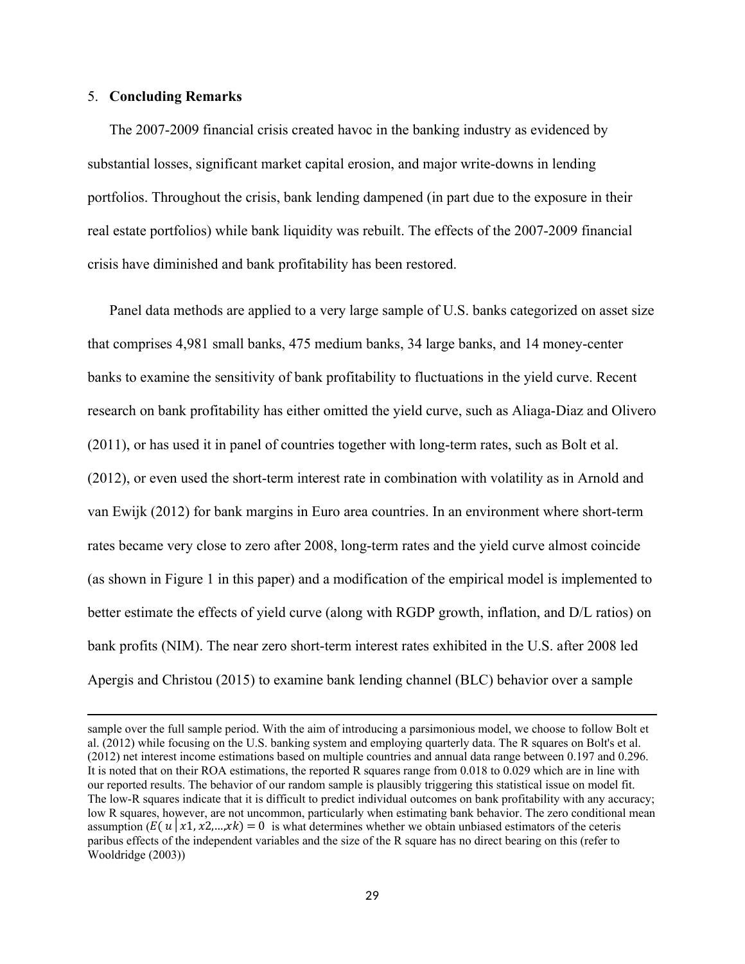#### 5. **Concluding Remarks**

The 2007-2009 financial crisis created havoc in the banking industry as evidenced by substantial losses, significant market capital erosion, and major write-downs in lending portfolios. Throughout the crisis, bank lending dampened (in part due to the exposure in their real estate portfolios) while bank liquidity was rebuilt. The effects of the 2007-2009 financial crisis have diminished and bank profitability has been restored.

Panel data methods are applied to a very large sample of U.S. banks categorized on asset size that comprises 4,981 small banks, 475 medium banks, 34 large banks, and 14 money-center banks to examine the sensitivity of bank profitability to fluctuations in the yield curve. Recent research on bank profitability has either omitted the yield curve, such as Aliaga-Diaz and Olivero (2011), or has used it in panel of countries together with long-term rates, such as Bolt et al. (2012), or even used the short-term interest rate in combination with volatility as in Arnold and van Ewijk (2012) for bank margins in Euro area countries. In an environment where short-term rates became very close to zero after 2008, long-term rates and the yield curve almost coincide (as shown in Figure 1 in this paper) and a modification of the empirical model is implemented to better estimate the effects of yield curve (along with RGDP growth, inflation, and D/L ratios) on bank profits (NIM). The near zero short-term interest rates exhibited in the U.S. after 2008 led Apergis and Christou (2015) to examine bank lending channel (BLC) behavior over a sample

sample over the full sample period. With the aim of introducing a parsimonious model, we choose to follow Bolt et al. (2012) while focusing on the U.S. banking system and employing quarterly data. The R squares on Bolt's et al. (2012) net interest income estimations based on multiple countries and annual data range between 0.197 and 0.296. It is noted that on their ROA estimations, the reported R squares range from 0.018 to 0.029 which are in line with our reported results. The behavior of our random sample is plausibly triggering this statistical issue on model fit. The low-R squares indicate that it is difficult to predict individual outcomes on bank profitability with any accuracy; low R squares, however, are not uncommon, particularly when estimating bank behavior. The zero conditional mean assumption  $(E(u \mid x_1, x_2, \ldots, x_k)) = 0$  is what determines whether we obtain unbiased estimators of the ceteris paribus effects of the independent variables and the size of the R square has no direct bearing on this (refer to Wooldridge (2003))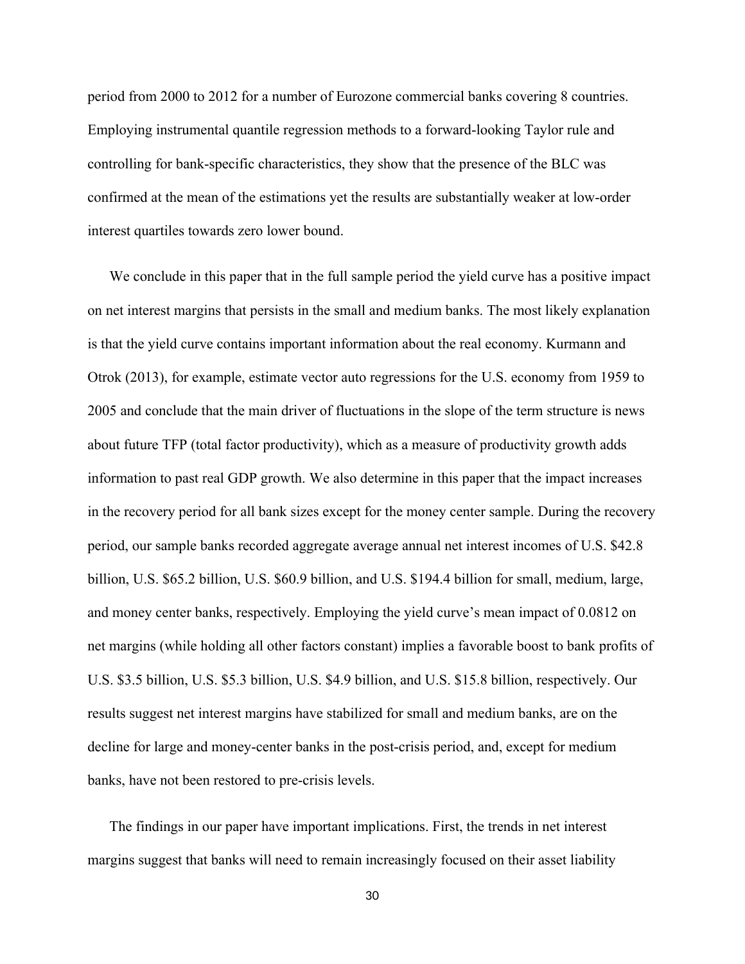period from 2000 to 2012 for a number of Eurozone commercial banks covering 8 countries. Employing instrumental quantile regression methods to a forward-looking Taylor rule and controlling for bank-specific characteristics, they show that the presence of the BLC was confirmed at the mean of the estimations yet the results are substantially weaker at low-order interest quartiles towards zero lower bound.

We conclude in this paper that in the full sample period the yield curve has a positive impact on net interest margins that persists in the small and medium banks. The most likely explanation is that the yield curve contains important information about the real economy. Kurmann and Otrok (2013), for example, estimate vector auto regressions for the U.S. economy from 1959 to 2005 and conclude that the main driver of fluctuations in the slope of the term structure is news about future TFP (total factor productivity), which as a measure of productivity growth adds information to past real GDP growth. We also determine in this paper that the impact increases in the recovery period for all bank sizes except for the money center sample. During the recovery period, our sample banks recorded aggregate average annual net interest incomes of U.S. \$42.8 billion, U.S. \$65.2 billion, U.S. \$60.9 billion, and U.S. \$194.4 billion for small, medium, large, and money center banks, respectively. Employing the yield curve's mean impact of 0.0812 on net margins (while holding all other factors constant) implies a favorable boost to bank profits of U.S. \$3.5 billion, U.S. \$5.3 billion, U.S. \$4.9 billion, and U.S. \$15.8 billion, respectively. Our results suggest net interest margins have stabilized for small and medium banks, are on the decline for large and money-center banks in the post-crisis period, and, except for medium banks, have not been restored to pre-crisis levels.

The findings in our paper have important implications. First, the trends in net interest margins suggest that banks will need to remain increasingly focused on their asset liability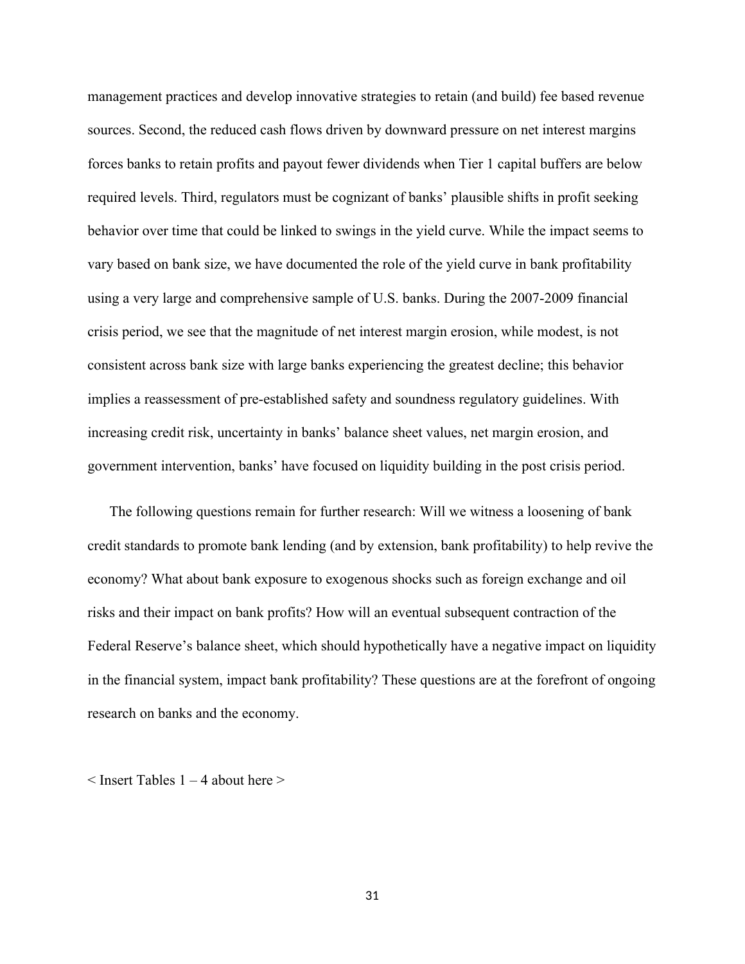management practices and develop innovative strategies to retain (and build) fee based revenue sources. Second, the reduced cash flows driven by downward pressure on net interest margins forces banks to retain profits and payout fewer dividends when Tier 1 capital buffers are below required levels. Third, regulators must be cognizant of banks' plausible shifts in profit seeking behavior over time that could be linked to swings in the yield curve. While the impact seems to vary based on bank size, we have documented the role of the yield curve in bank profitability using a very large and comprehensive sample of U.S. banks. During the 2007-2009 financial crisis period, we see that the magnitude of net interest margin erosion, while modest, is not consistent across bank size with large banks experiencing the greatest decline; this behavior implies a reassessment of pre-established safety and soundness regulatory guidelines. With increasing credit risk, uncertainty in banks' balance sheet values, net margin erosion, and government intervention, banks' have focused on liquidity building in the post crisis period.

The following questions remain for further research: Will we witness a loosening of bank credit standards to promote bank lending (and by extension, bank profitability) to help revive the economy? What about bank exposure to exogenous shocks such as foreign exchange and oil risks and their impact on bank profits? How will an eventual subsequent contraction of the Federal Reserve's balance sheet, which should hypothetically have a negative impact on liquidity in the financial system, impact bank profitability? These questions are at the forefront of ongoing research on banks and the economy.

< Insert Tables 1 – 4 about here >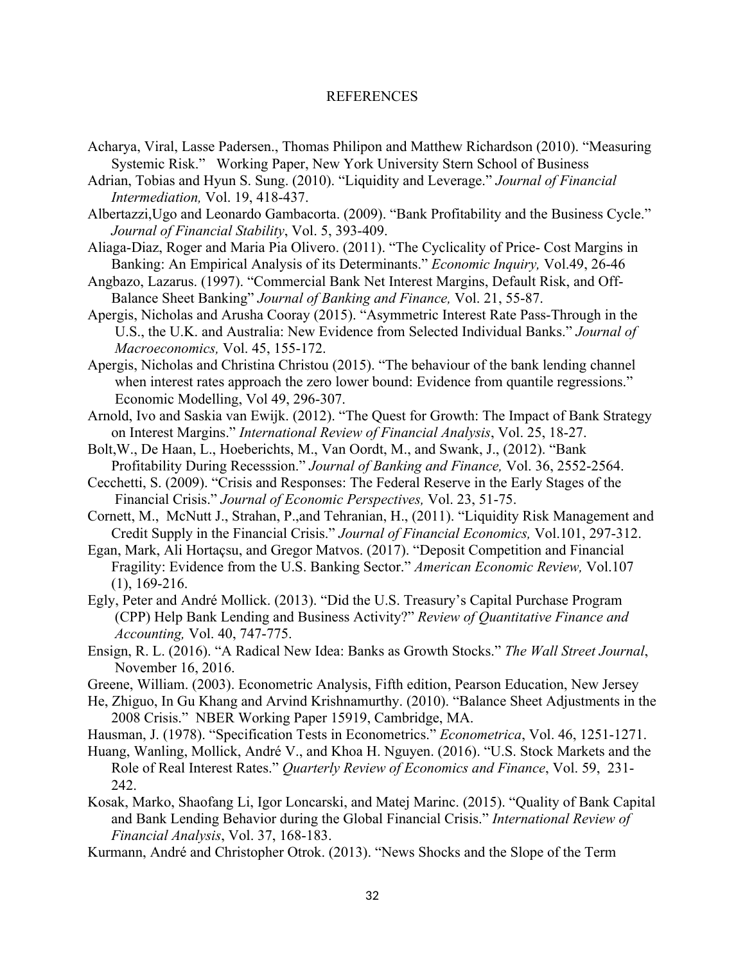#### REFERENCES

- Acharya, Viral, Lasse Padersen., Thomas Philipon and Matthew Richardson (2010). "Measuring Systemic Risk." Working Paper, New York University Stern School of Business
- Adrian, Tobias and Hyun S. Sung. (2010). "Liquidity and Leverage." *Journal of Financial Intermediation,* Vol. 19, 418-437.
- Albertazzi,Ugo and Leonardo Gambacorta. (2009). "Bank Profitability and the Business Cycle." *Journal of Financial Stability*, Vol. 5, 393-409.
- Aliaga-Diaz, Roger and Maria Pia Olivero. (2011). "The Cyclicality of Price- Cost Margins in Banking: An Empirical Analysis of its Determinants." *Economic Inquiry,* Vol.49, 26-46
- Angbazo, Lazarus. (1997). "Commercial Bank Net Interest Margins, Default Risk, and Off-Balance Sheet Banking" *Journal of Banking and Finance,* Vol. 21, 55-87.
- Apergis, Nicholas and Arusha Cooray (2015). "Asymmetric Interest Rate Pass-Through in the U.S., the U.K. and Australia: New Evidence from Selected Individual Banks." *Journal of Macroeconomics,* Vol. 45, 155-172.
- Apergis, Nicholas and Christina Christou (2015). "The behaviour of the bank lending channel when interest rates approach the zero lower bound: Evidence from quantile regressions." Economic Modelling, Vol 49, 296-307.
- Arnold, Ivo and Saskia van Ewijk. (2012). "The Quest for Growth: The Impact of Bank Strategy on Interest Margins." *International Review of Financial Analysis*, Vol. 25, 18-27.
- Bolt,W., De Haan, L., Hoeberichts, M., Van Oordt, M., and Swank, J., (2012). "Bank Profitability During Recesssion." *Journal of Banking and Finance,* Vol. 36, 2552-2564.
- Cecchetti, S. (2009). "Crisis and Responses: The Federal Reserve in the Early Stages of the Financial Crisis." *Journal of Economic Perspectives,* Vol. 23, 51-75.
- Cornett, M., McNutt J., Strahan, P.,and Tehranian, H., (2011). "Liquidity Risk Management and Credit Supply in the Financial Crisis." *Journal of Financial Economics,* Vol.101, 297-312.
- Egan, Mark, Ali Hortaçsu, and Gregor Matvos. (2017). "Deposit Competition and Financial Fragility: Evidence from the U.S. Banking Sector." *American Economic Review,* Vol.107 (1), 169-216.
- Egly, Peter and André Mollick. (2013). "Did the U.S. Treasury's Capital Purchase Program (CPP) Help Bank Lending and Business Activity?" *Review of Quantitative Finance and Accounting,* Vol. 40, 747-775.
- Ensign, R. L. (2016). "A Radical New Idea: Banks as Growth Stocks." *The Wall Street Journal*, November 16, 2016.
- Greene, William. (2003). Econometric Analysis, Fifth edition, Pearson Education, New Jersey
- He, Zhiguo, In Gu Khang and Arvind Krishnamurthy. (2010). "Balance Sheet Adjustments in the 2008 Crisis." NBER Working Paper 15919, Cambridge, MA.
- Hausman, J. (1978). "Specification Tests in Econometrics." *Econometrica*, Vol. 46, 1251-1271.
- Huang, Wanling, Mollick, André V., and Khoa H. Nguyen. (2016). "U.S. Stock Markets and the Role of Real Interest Rates." *Quarterly Review of Economics and Finance*, Vol. 59, 231- 242.
- Kosak, Marko, Shaofang Li, Igor Loncarski, and Matej Marinc. (2015). "Quality of Bank Capital and Bank Lending Behavior during the Global Financial Crisis." *International Review of Financial Analysis*, Vol. 37, 168-183.
- Kurmann, André and Christopher Otrok. (2013). "News Shocks and the Slope of the Term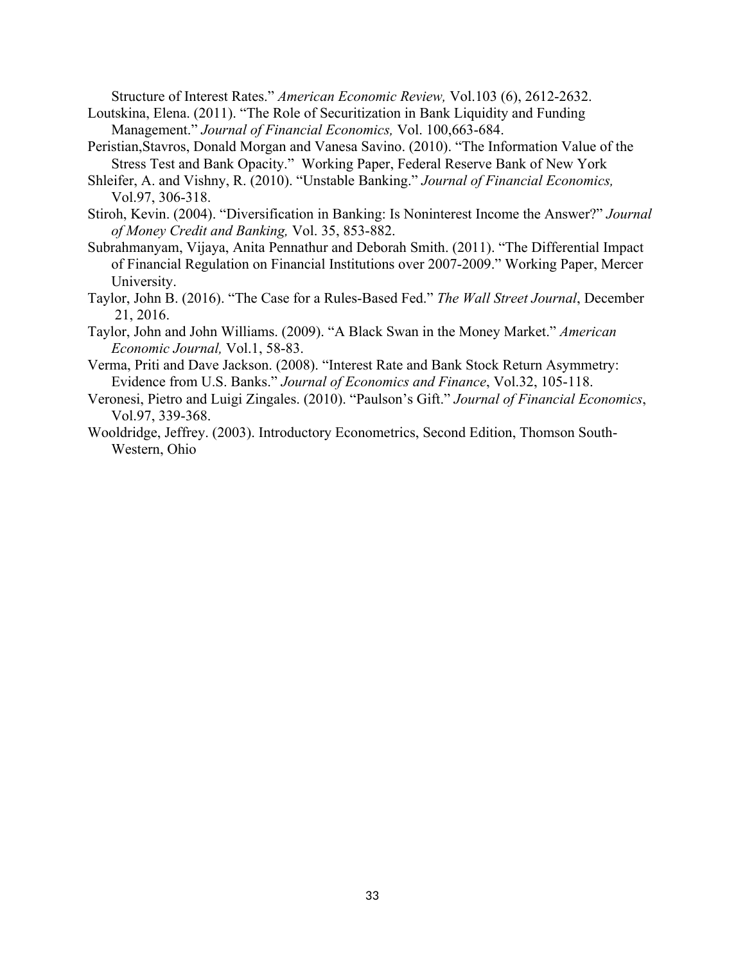Structure of Interest Rates." *American Economic Review,* Vol.103 (6), 2612-2632.

- Loutskina, Elena. (2011). "The Role of Securitization in Bank Liquidity and Funding Management." *Journal of Financial Economics,* Vol. 100,663-684.
- Peristian,Stavros, Donald Morgan and Vanesa Savino. (2010). "The Information Value of the Stress Test and Bank Opacity." Working Paper, Federal Reserve Bank of New York
- Shleifer, A. and Vishny, R. (2010). "Unstable Banking." *Journal of Financial Economics,* Vol.97, 306-318.
- Stiroh, Kevin. (2004). "Diversification in Banking: Is Noninterest Income the Answer?" *Journal of Money Credit and Banking,* Vol. 35, 853-882.
- Subrahmanyam, Vijaya, Anita Pennathur and Deborah Smith. (2011). "The Differential Impact of Financial Regulation on Financial Institutions over 2007-2009." Working Paper, Mercer University.
- Taylor, John B. (2016). "The Case for a Rules-Based Fed." *The Wall Street Journal*, December 21, 2016.
- Taylor, John and John Williams. (2009). "A Black Swan in the Money Market." *American Economic Journal,* Vol.1, 58-83.
- Verma, Priti and Dave Jackson. (2008). "Interest Rate and Bank Stock Return Asymmetry: Evidence from U.S. Banks." *Journal of Economics and Finance*, Vol.32, 105-118.
- Veronesi, Pietro and Luigi Zingales. (2010). "Paulson's Gift." *Journal of Financial Economics*, Vol.97, 339-368.
- Wooldridge, Jeffrey. (2003). Introductory Econometrics, Second Edition, Thomson South-Western, Ohio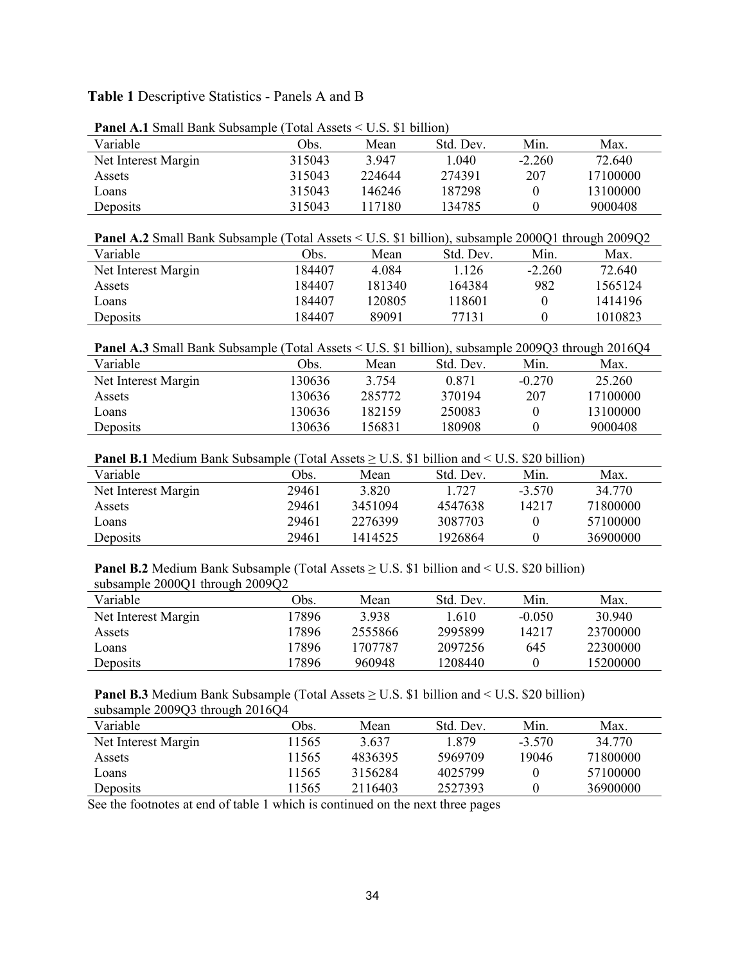## **Table 1** Descriptive Statistics - Panels A and B

|                     | .      |        |           |          |          |
|---------------------|--------|--------|-----------|----------|----------|
| Variable            | Obs.   | Mean   | Std. Dev. | Min.     | Max.     |
| Net Interest Margin | 315043 | 3 947  | 1.040     | $-2.260$ | 72.640   |
| Assets              | 315043 | 224644 | 274391    | 207      | 17100000 |
| Loans               | 315043 | 146246 | 187298    |          | 13100000 |
| Deposits            | 315043 | 117180 | 134785    |          | 9000408  |

**Panel A.1** Small Bank Subsample (Total Assets < U.S. \$1 billion)

| <b>Panel A.2</b> Small Bank Subsample (Total Assets < U.S. \$1 billion), subsample 2000Q1 through 2009Q2 |  |  |
|----------------------------------------------------------------------------------------------------------|--|--|
|                                                                                                          |  |  |

| Variable            | Obs.   | Mean   | Std. Dev. | Min.     | Max.    |
|---------------------|--------|--------|-----------|----------|---------|
| Net Interest Margin | 184407 | 4 084  | 1.126     | $-2.260$ | 72.640  |
| Assets              | 184407 | 181340 | 164384    | 982      | 1565124 |
| Loans               | 184407 | 120805 | 118601    |          | 1414196 |
| Deposits            | 184407 | 89091  | 77131     |          | 1010823 |

**Panel A.3** Small Bank Subsample (Total Assets < U.S. \$1 billion), subsample 2009Q3 through 2016Q4

| Variable            | Obs.   | Mean    | Std Dev | Min.     | Max.     |
|---------------------|--------|---------|---------|----------|----------|
| Net Interest Margin | 130636 | 3 7 5 4 | 0.871   | $-0.270$ | 25.260   |
| Assets              | 130636 | 285772  | 370194  | 207      | 17100000 |
| Loans               | 130636 | 182159  | 250083  |          | 13100000 |
| Deposits            | 30636  | 56831   | 180908  |          | 9000408  |

**Panel B.1** Medium Bank Subsample (Total Assets ≥ U.S. \$1 billion and < U.S. \$20 billion)

| Variable            | Obs.  | Mean    | Std Dev | Min.     | Max.     |
|---------------------|-------|---------|---------|----------|----------|
| Net Interest Margin | 29461 | 3.820   | 1.727   | $-3.570$ | 34 770   |
| Assets              | 29461 | 3451094 | 4547638 | 14217    | 71800000 |
| Loans-              | 29461 | 2276399 | 3087703 |          | 57100000 |
| Deposits            | 29461 | 1414525 | 1926864 |          | 36900000 |

|                                 | <b>Panel B.2</b> Medium Bank Subsample (Total Assets $\geq$ U.S. \$1 billion and < U.S. \$20 billion) |  |  |
|---------------------------------|-------------------------------------------------------------------------------------------------------|--|--|
| subsample 2000Q1 through 2009Q2 |                                                                                                       |  |  |

| Variable            | Obs.  | Mean    | Std Dev | Min.     | Max.     |
|---------------------|-------|---------|---------|----------|----------|
| Net Interest Margin | 17896 | 3.938   | 1.610   | $-0.050$ | 30.940   |
| Assets              | 17896 | 2555866 | 2995899 | 14217    | 23700000 |
| Loans               | 17896 | 1707787 | 2097256 | 645      | 22300000 |
| Deposits            | '7896 | 960948  | 1208440 |          | 15200000 |

**Panel B.3** Medium Bank Subsample (Total Assets ≥ U.S. \$1 billion and < U.S. \$20 billion) subsample 2009Q3 through 2016Q4

| Variable            | Эbs.  | Mean    | Std. Dev. | Min.     | Max.     |
|---------------------|-------|---------|-----------|----------|----------|
| Net Interest Margin | 11565 | 3.637   | 1 879     | $-3.570$ | 34 770   |
| Assets              | 11565 | 4836395 | 5969709   | 19046    | 71800000 |
| Loans               | 11565 | 3156284 | 4025799   |          | 57100000 |
| Deposits            | 1565  | 2116403 | 2527393   |          | 36900000 |

See the footnotes at end of table 1 which is continued on the next three pages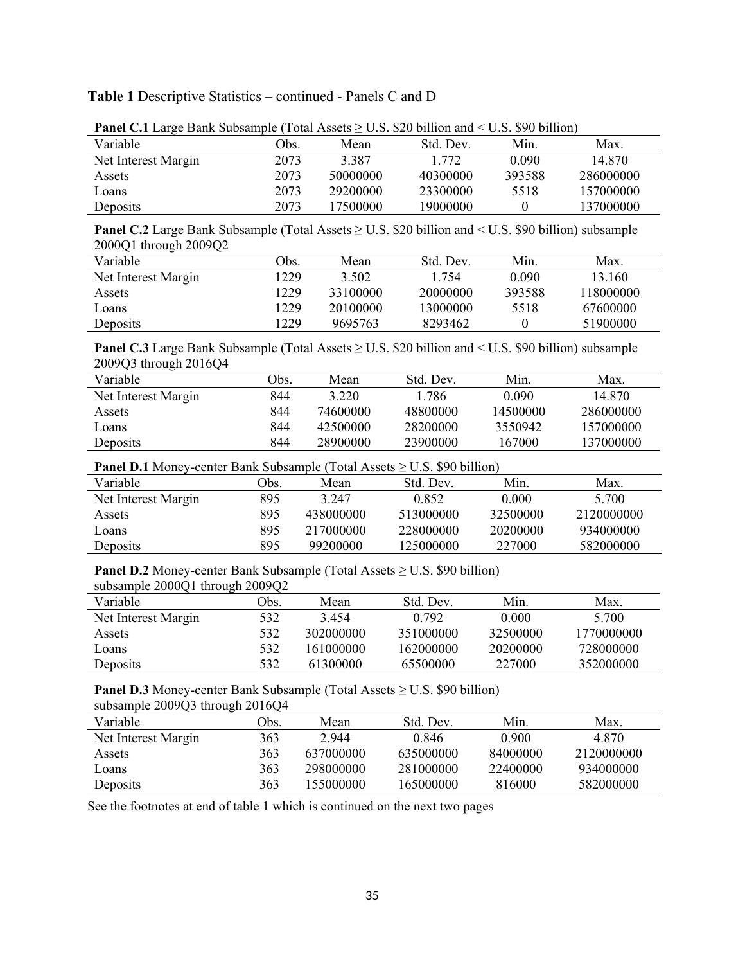#### **Table 1** Descriptive Statistics – continued - Panels C and D

| <b>T and C.I</b> Early Dain Bubsample (Total Tissue $\leq$ 0.5, \$20 billion and $\leq$ 0.5, \$70 billion) |      |          |           |        |           |  |  |  |
|------------------------------------------------------------------------------------------------------------|------|----------|-----------|--------|-----------|--|--|--|
| Variable                                                                                                   | Эbs. | Mean     | Std. Dev. | Min.   | Max.      |  |  |  |
| Net Interest Margin                                                                                        | 2073 | 3 3 8 7  | 1.772     | 0.090  | 14.870    |  |  |  |
| Assets                                                                                                     | 2073 | 50000000 | 40300000  | 393588 | 286000000 |  |  |  |
| Loans-                                                                                                     | 2073 | 29200000 | 23300000  | 5518   | 157000000 |  |  |  |
| <b>Deposits</b>                                                                                            | 2073 | 17500000 | 19000000  |        | 137000000 |  |  |  |

**Panel C.1** Large Bank Subsample (Total Assets ≥ U.S. \$20 billion and < U.S. \$90 billion)

**Panel C.2** Large Bank Subsample (Total Assets  $\geq$  U.S. \$20 billion and  $\leq$  U.S. \$90 billion) subsample 2000Q1 through 2009Q2

| Variable            | Эbs. | Mean     | Std Dev  | Min.   | Max.      |
|---------------------|------|----------|----------|--------|-----------|
| Net Interest Margin | 1229 | 3.502    | 1 754    | 0.090  | 13.160    |
| Assets              | 1229 | 33100000 | 20000000 | 393588 | 118000000 |
| Loans               | 1229 | 20100000 | 13000000 | 5518   | 67600000  |
| <b>Deposits</b>     | 1229 | 9695763  | 8293462  |        | 51900000  |

**Panel C.3** Large Bank Subsample (Total Assets  $\geq$  U.S. \$20 billion and  $\leq$  U.S. \$90 billion) subsample 2009Q3 through 2016Q4

| Variable            | Obs. | Mean     | Std. Dev. | Min.     | Max.      |
|---------------------|------|----------|-----------|----------|-----------|
| Net Interest Margin | 844  | 3.220    | .786      | 0.090    | 14 870    |
| Assets              | 844  | 74600000 | 48800000  | 14500000 | 286000000 |
| Loans               | 844  | 42500000 | 28200000  | 3550942  | 157000000 |
| <b>Deposits</b>     | 844  | 28900000 | 23900000  | 167000   | 137000000 |

**Panel D.1** Money-center Bank Subsample (Total Assets  $\geq$  U.S. \$90 billion)

| Variable            | Dbs. | Mean      | Std Dev   | Min.     | Max.       |
|---------------------|------|-----------|-----------|----------|------------|
| Net Interest Margin | 895  | 3 2 4 7   | 0.852     | 0.000    | 5.700      |
| Assets              | 895  | 438000000 | 513000000 | 32500000 | 2120000000 |
| Loans               | 895  | 217000000 | 228000000 | 20200000 | 934000000  |
| Deposits            | 895  | 99200000  | 125000000 | 227000   | 582000000  |
|                     |      |           |           |          |            |

**Panel D.2** Money-center Bank Subsample (Total Assets ≥ U.S. \$90 billion) subsample  $200001$  through  $200902$ 

| Variable            | Obs. | Mean      | Std Dev   | Min.     | Max.       |  |  |  |
|---------------------|------|-----------|-----------|----------|------------|--|--|--|
| Net Interest Margin | 532  | 3454      | 0.792     | 0.000    | 5.700      |  |  |  |
| Assets              | 532  | 302000000 | 351000000 | 32500000 | 1770000000 |  |  |  |
| Loans               | 532  | 161000000 | 162000000 | 20200000 | 728000000  |  |  |  |
| Deposits            | 532  | 61300000  | 65500000  | 227000   | 352000000  |  |  |  |

**Panel D.3** Money-center Bank Subsample (Total Assets  $\geq$  U.S. \$90 billion) subsample 2009Q3 through 2016Q4

| Variable            | Эbs. | Mean      | Std Dev   | Min.     | Max.       |
|---------------------|------|-----------|-----------|----------|------------|
| Net Interest Margin | 363  | 2 944     | 0.846     | 0.900    | 4.870      |
| Assets              | 363  | 637000000 | 635000000 | 84000000 | 2120000000 |
| Loans               | 363  | 298000000 | 281000000 | 22400000 | 934000000  |
| Deposits            | 363  | 155000000 | 165000000 | 816000   | 582000000  |

See the footnotes at end of table 1 which is continued on the next two pages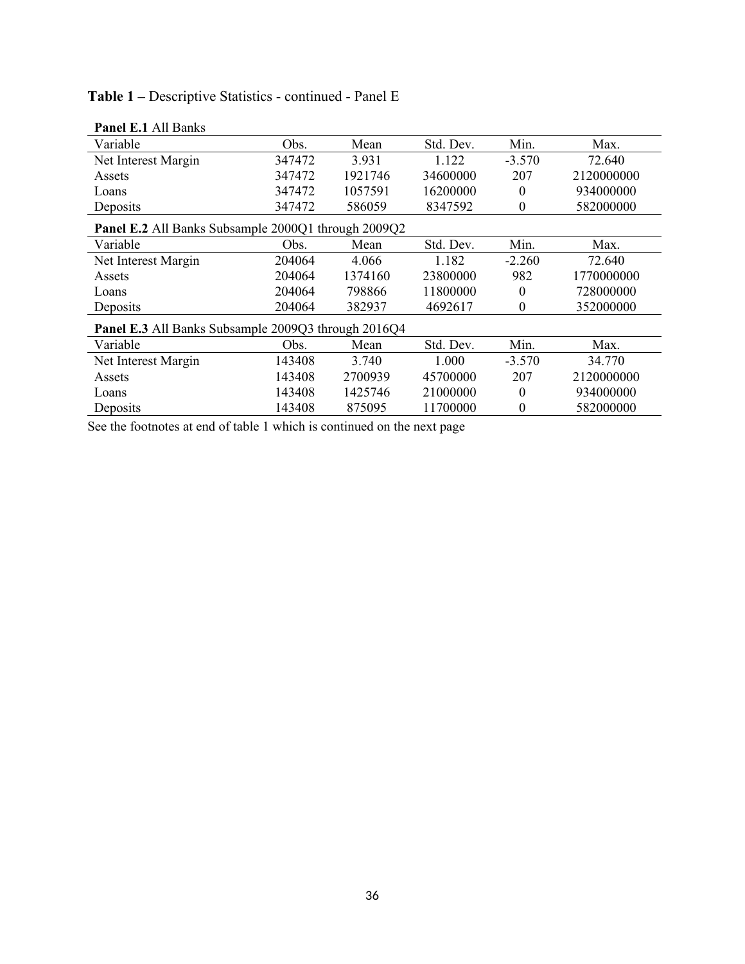| Panel E.1 All Banks                                 |        |         |           |                  |            |  |  |
|-----------------------------------------------------|--------|---------|-----------|------------------|------------|--|--|
| Variable                                            | Obs.   | Mean    | Std. Dev. | Min.             | Max.       |  |  |
| Net Interest Margin                                 | 347472 | 3.931   | 1.122     | $-3.570$         | 72.640     |  |  |
| Assets                                              | 347472 | 1921746 | 34600000  | 207              | 2120000000 |  |  |
| Loans                                               | 347472 | 1057591 | 16200000  | $\theta$         | 934000000  |  |  |
| Deposits                                            | 347472 | 586059  | 8347592   | $\boldsymbol{0}$ | 582000000  |  |  |
| Panel E.2 All Banks Subsample 2000Q1 through 2009Q2 |        |         |           |                  |            |  |  |
| Variable                                            | Obs.   | Mean    | Std. Dev. | Min.             | Max.       |  |  |
| Net Interest Margin                                 | 204064 | 4.066   | 1.182     | $-2.260$         | 72.640     |  |  |
| Assets                                              | 204064 | 1374160 | 23800000  | 982              | 1770000000 |  |  |
| Loans                                               | 204064 | 798866  | 11800000  | $\theta$         | 728000000  |  |  |
| Deposits                                            | 204064 | 382937  | 4692617   | $\theta$         | 352000000  |  |  |
| Panel E.3 All Banks Subsample 2009Q3 through 2016Q4 |        |         |           |                  |            |  |  |
| Variable                                            | Obs.   | Mean    | Std. Dev. | Min.             | Max.       |  |  |
| Net Interest Margin                                 | 143408 | 3.740   | 1.000     | $-3.570$         | 34.770     |  |  |
| Assets                                              | 143408 | 2700939 | 45700000  | 207              | 2120000000 |  |  |
| Loans                                               | 143408 | 1425746 | 21000000  | $\theta$         | 934000000  |  |  |
| Deposits                                            | 143408 | 875095  | 11700000  | $\boldsymbol{0}$ | 582000000  |  |  |

# **Table 1 –** Descriptive Statistics - continued - Panel E

See the footnotes at end of table 1 which is continued on the next page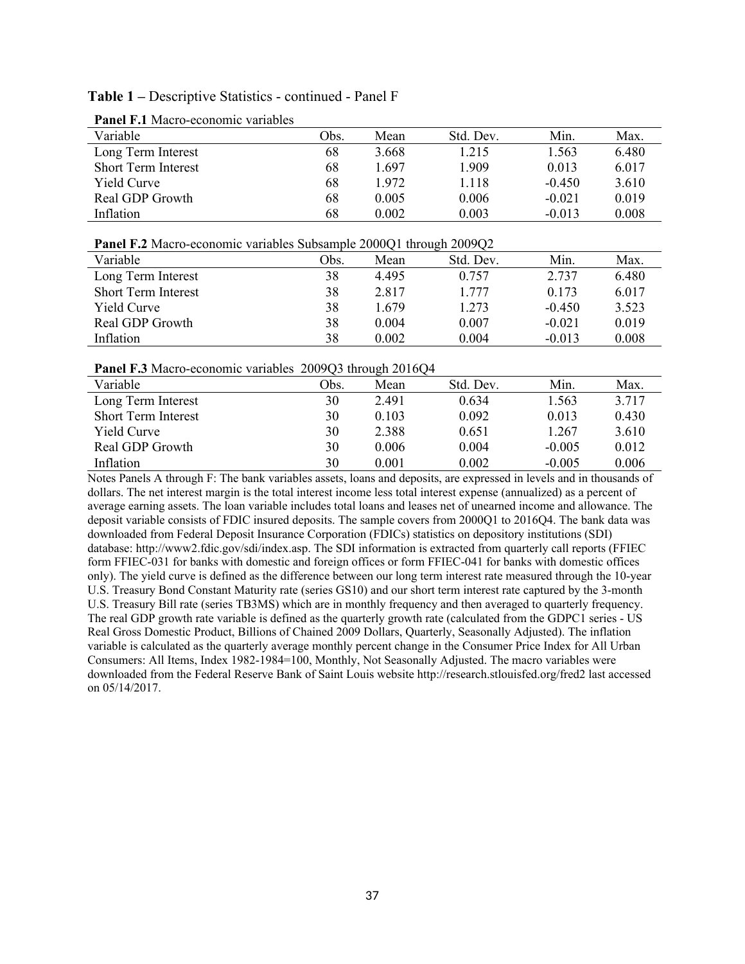**Table 1 –** Descriptive Statistics - continued - Panel F

| Variable                   | Obs. | Mean  | Std. Dev. | Min.     | Max.  |
|----------------------------|------|-------|-----------|----------|-------|
| Long Term Interest         | 68   | 3.668 | 1.215     | 1.563    | 6.480 |
| <b>Short Term Interest</b> | 68   | 1.697 | 1.909     | 0.013    | 6.017 |
| Yield Curve                | 68   | 1972  | 1.118     | $-0.450$ | 3.610 |
| Real GDP Growth            | 68   | 0.005 | 0.006     | $-0.021$ | 0.019 |
| Inflation                  | 68   | 0.002 | 0.003     | $-0.013$ | 0.008 |
|                            |      |       |           |          |       |

**Panel F.1** Macro-economic variables

| Panel F.2 Macro-economic variables Subsample 2000Q1 through 2009Q2 |  |  |  |
|--------------------------------------------------------------------|--|--|--|
|                                                                    |  |  |  |

| Variable                   | Obs. | Mean  | Std. Dev. | Min.     | Max.  |
|----------------------------|------|-------|-----------|----------|-------|
| Long Term Interest         | 38   | 4.495 | 0.757     | 2.737    | 6.480 |
| <b>Short Term Interest</b> | 38   | 2.817 | 1 777     | 0.173    | 6.017 |
| <b>Yield Curve</b>         | 38   | 1.679 | 1.273     | $-0.450$ | 3.523 |
| Real GDP Growth            | 38   | 0.004 | 0.007     | $-0.021$ | 0.019 |
| Inflation                  | 38   | 0.002 | 0.004     | $-0.013$ | 0.008 |

#### **Panel F.3** Macro-economic variables 2009Q3 through 2016Q4

| Variable                   | Obs. | Mean  | Std. Dev. | Min.     | Max.  |
|----------------------------|------|-------|-----------|----------|-------|
| Long Term Interest         | 30   | 2.491 | 0.634     | 1.563    | 3.717 |
| <b>Short Term Interest</b> | 30   | 0.103 | 0.092     | 0.013    | 0.430 |
| <b>Yield Curve</b>         | 30   | 2.388 | 0.651     | 1.267    | 3.610 |
| Real GDP Growth            | 30   | 0.006 | 0.004     | $-0.005$ | 0.012 |
| Inflation                  | 30   | 0.001 | 0.002     | $-0.005$ | 0.006 |

Notes Panels A through F: The bank variables assets, loans and deposits, are expressed in levels and in thousands of dollars. The net interest margin is the total interest income less total interest expense (annualized) as a percent of average earning assets. The loan variable includes total loans and leases net of unearned income and allowance. The deposit variable consists of FDIC insured deposits. The sample covers from 2000Q1 to 2016Q4. The bank data was downloaded from Federal Deposit Insurance Corporation (FDICs) statistics on depository institutions (SDI) database: http://www2.fdic.gov/sdi/index.asp. The SDI information is extracted from quarterly call reports (FFIEC form FFIEC-031 for banks with domestic and foreign offices or form FFIEC-041 for banks with domestic offices only). The yield curve is defined as the difference between our long term interest rate measured through the 10-year U.S. Treasury Bond Constant Maturity rate (series GS10) and our short term interest rate captured by the 3-month U.S. Treasury Bill rate (series TB3MS) which are in monthly frequency and then averaged to quarterly frequency. The real GDP growth rate variable is defined as the quarterly growth rate (calculated from the GDPC1 series - US Real Gross Domestic Product, Billions of Chained 2009 Dollars, Quarterly, Seasonally Adjusted). The inflation variable is calculated as the quarterly average monthly percent change in the Consumer Price Index for All Urban Consumers: All Items, Index 1982-1984=100, Monthly, Not Seasonally Adjusted. The macro variables were downloaded from the Federal Reserve Bank of Saint Louis website http://research.stlouisfed.org/fred2 last accessed on 05/14/2017.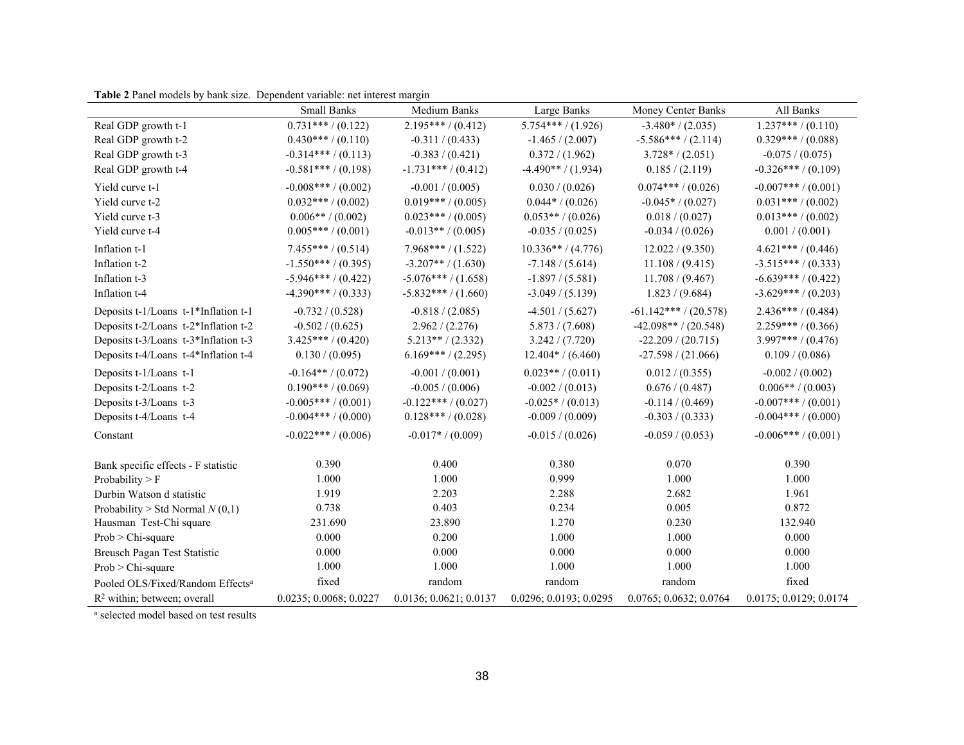|                                              | <b>Small Banks</b>     | <b>Medium Banks</b>    | Large Banks            | <b>Money Center Banks</b> | All Banks              |
|----------------------------------------------|------------------------|------------------------|------------------------|---------------------------|------------------------|
| Real GDP growth t-1                          | $0.731***/(0.122)$     | $2.195***/(0.412)$     | $5.754***/(1.926)$     | $-3.480* / (2.035)$       | $1.237***/(0.110)$     |
| Real GDP growth t-2                          | $0.430***/(0.110)$     | $-0.311 / (0.433)$     | $-1.465 / (2.007)$     | $-5.586***/(2.114)$       | $0.329***/(0.088)$     |
| Real GDP growth t-3                          | $-0.314***$ / (0.113)  | $-0.383 / (0.421)$     | 0.372 / (1.962)        | $3.728* / (2.051)$        | $-0.075 / (0.075)$     |
| Real GDP growth t-4                          | $-0.581***/(0.198)$    | $-1.731***/(0.412)$    | $-4.490**/(1.934)$     | 0.185 / (2.119)           | $-0.326***/(0.109)$    |
| Yield curve t-1                              | $-0.008***/(0.002)$    | $-0.001 / (0.005)$     | 0.030 / (0.026)        | $0.074***/(0.026)$        | $-0.007***/(0.001)$    |
| Yield curve t-2                              | $0.032***/(0.002)$     | $0.019***/(0.005)$     | $0.044* / (0.026)$     | $-0.045* / (0.027)$       | $0.031***/(0.002)$     |
| Yield curve t-3                              | $0.006**/(0.002)$      | $0.023***$ / $(0.005)$ | $0.053**/(0.026)$      | 0.018 / (0.027)           | $0.013***/(0.002)$     |
| Yield curve t-4                              | $0.005***/(0.001)$     | $-0.013**/(0.005)$     | $-0.035 / (0.025)$     | $-0.034 / (0.026)$        | 0.001 / (0.001)        |
| Inflation t-1                                | $7.455***/(0.514)$     | $7.968***/(1.522)$     | $10.336**/(4.776)$     | 12.022 / (9.350)          | $4.621***/(0.446)$     |
| Inflation t-2                                | $-1.550***/(0.395)$    | $-3.207**/(1.630)$     | $-7.148 / (5.614)$     | 11.108 / (9.415)          | $-3.515***/(0.333)$    |
| Inflation t-3                                | $-5.946***/(0.422)$    | $-5.076***/(1.658)$    | $-1.897 / (5.581)$     | 11.708 / (9.467)          | $-6.639***/(0.422)$    |
| Inflation t-4                                | $-4.390***/(0.333)$    | $-5.832***/(1.660)$    | $-3.049 / (5.139)$     | 1.823 / (9.684)           | $-3.629***/(0.203)$    |
| Deposits t-1/Loans t-1*Inflation t-1         | $-0.732 / (0.528)$     | $-0.818 / (2.085)$     | $-4.501 / (5.627)$     | $-61.142***/(20.578)$     | $2.436***/(0.484)$     |
| Deposits t-2/Loans t-2*Inflation t-2         | $-0.502 / (0.625)$     | 2.962 / (2.276)        | 5.873 / (7.608)        | $-42.098**/(20.548)$      | $2.259***/(0.366)$     |
| Deposits t-3/Loans t-3*Inflation t-3         | $3.425***/(0.420)$     | $5.213**/(2.332)$      | 3.242 / (7.720)        | $-22.209 / (20.715)$      | $3.997***/(0.476)$     |
| Deposits t-4/Loans t-4*Inflation t-4         | 0.130 / (0.095)        | $6.169***/(2.295)$     | $12.404* / (6.460)$    | $-27.598 / (21.066)$      | 0.109 / (0.086)        |
| Deposits t-1/Loans t-1                       | $-0.164**/(0.072)$     | $-0.001 / (0.001)$     | $0.023**/(0.011)$      | 0.012 / (0.355)           | $-0.002 / (0.002)$     |
| Deposits t-2/Loans t-2                       | $0.190***/(0.069)$     | $-0.005 / (0.006)$     | $-0.002 / (0.013)$     | 0.676 / (0.487)           | $0.006** / (0.003)$    |
| Deposits t-3/Loans t-3                       | $-0.005***/(0.001)$    | $-0.122***/(0.027)$    | $-0.025*/(0.013)$      | $-0.114 / (0.469)$        | $-0.007***/(0.001)$    |
| Deposits t-4/Loans t-4                       | $-0.004***/(0.000)$    | $0.128***/(0.028)$     | $-0.009 / (0.009)$     | $-0.303 / (0.333)$        | $-0.004***/(0.000)$    |
| Constant                                     | $-0.022***/(0.006)$    | $-0.017* / (0.009)$    | $-0.015 / (0.026)$     | $-0.059 / (0.053)$        | $-0.006***/(0.001)$    |
| Bank specific effects - F statistic          | 0.390                  | 0.400                  | 0.380                  | 0.070                     | 0.390                  |
| Probability $>$ F                            | 1.000                  | 1.000                  | 0.999                  | 1.000                     | 1.000                  |
| Durbin Watson d statistic                    | 1.919                  | 2.203                  | 2.288                  | 2.682                     | 1.961                  |
| Probability > Std Normal $N(0,1)$            | 0.738                  | 0.403                  | 0.234                  | 0.005                     | 0.872                  |
| Hausman Test-Chi square                      | 231.690                | 23.890                 | 1.270                  | 0.230                     | 132.940                |
| Prob > Chi-square                            | 0.000                  | 0.200                  | 1.000                  | 1.000                     | 0.000                  |
| Breusch Pagan Test Statistic                 | 0.000                  | 0.000                  | 0.000                  | 0.000                     | 0.000                  |
| $Prob > Chi$ -square                         | 1.000                  | 1.000                  | 1.000                  | 1.000                     | 1.000                  |
| Pooled OLS/Fixed/Random Effects <sup>a</sup> | fixed                  | random                 | random                 | random                    | fixed                  |
| R <sup>2</sup> within; between; overall      | 0.0235; 0.0068; 0.0227 | 0.0136; 0.0621; 0.0137 | 0.0296; 0.0193; 0.0295 | 0.0765; 0.0632; 0.0764    | 0.0175; 0.0129; 0.0174 |

**Table 2** Panel models by bank size. Dependent variable: net interest margin

a selected model based on test results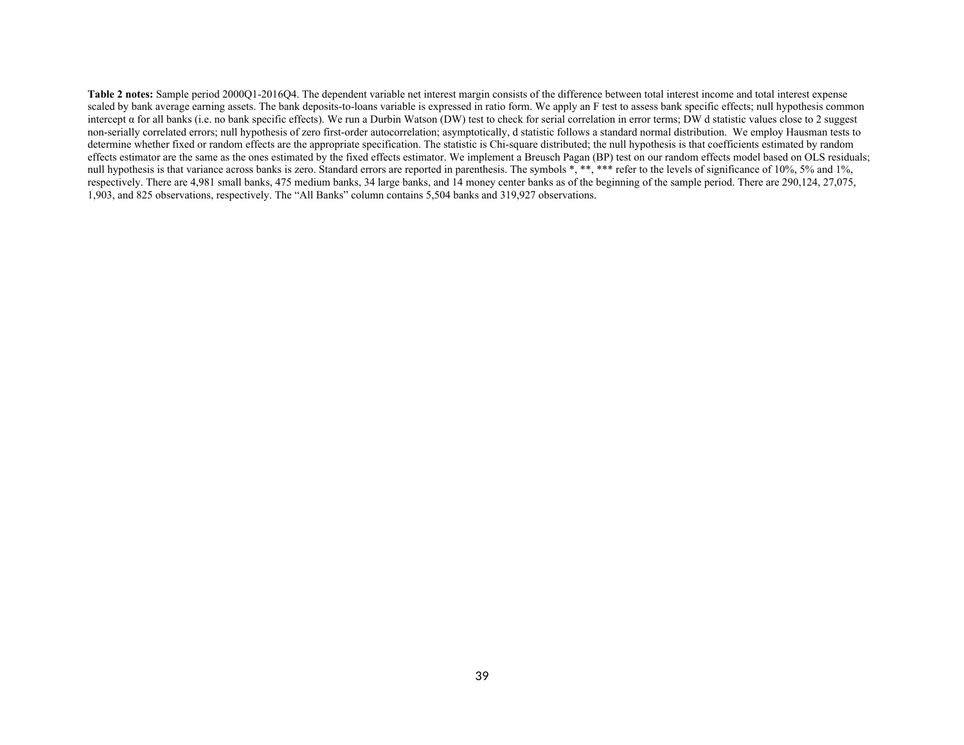**Table 2 notes:** Sample period 2000Q1-2016Q4. The dependent variable net interest margin consists of the difference between total interest income and total interest expense scaled by bank average earning assets. The bank deposits-to-loans variable is expressed in ratio form. We apply an F test to assess bank specific effects; null hypothesis common intercept  $\alpha$  for all banks (i.e. no bank specific effects). We run a Durbin Watson (DW) test to check for serial correlation in error terms; DW d statistic values close to 2 suggest non-serially correlated errors; null hypothesis of zero first-order autocorrelation; asymptotically, d statistic follows a standard normal distribution. We employ Hausman tests to determine whether fixed or random effects are the appropriate specification. The statistic is Chi-square distributed; the null hypothesis is that coefficients estimated by random effects estimator are the same as the ones estimated by the fixed effects estimator. We implement a Breusch Pagan (BP) test on our random effects model based on OLS residuals; null hypothesis is that variance across banks is zero. Standard errors are reported in parenthesis. The symbols \*, \*\*, \*\*\* refer to the levels of significance of 10%, 5% and 1%, respectively. There are 4,981 small banks, 475 medium banks, 34 large banks, and 14 money center banks as of the beginning of the sample period. There are 290,124, 27,075, 1,903, and 825 observations, respectively. The "All Banks" column contains 5,504 banks and 319,927 observations.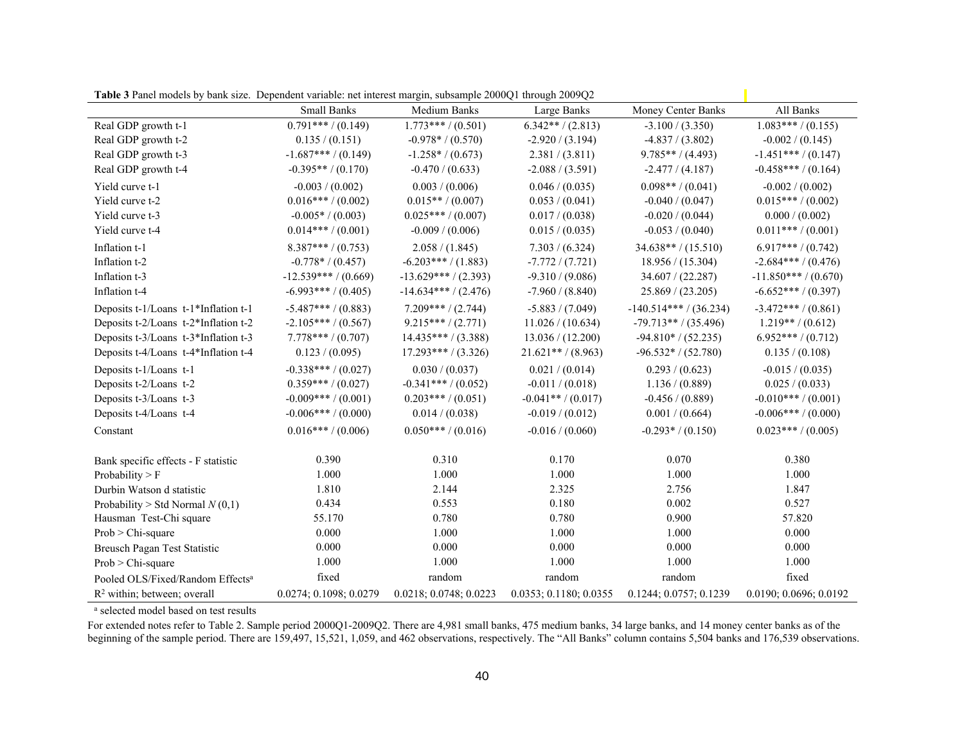| Table 3 Panel models by bank size. Dependent variable: net interest margin, subsample 2000Q1 through 2009Q2 |                        |                        |                        |                          |                        |  |  |
|-------------------------------------------------------------------------------------------------------------|------------------------|------------------------|------------------------|--------------------------|------------------------|--|--|
|                                                                                                             | <b>Small Banks</b>     | <b>Medium Banks</b>    | Large Banks            | Money Center Banks       | All Banks              |  |  |
| Real GDP growth t-1                                                                                         | $0.791***/(0.149)$     | $1.773***/(0.501)$     | $6.342**/(2.813)$      | $-3.100 / (3.350)$       | $1.083***/(0.155)$     |  |  |
| Real GDP growth t-2                                                                                         | 0.135 / (0.151)        | $-0.978* / (0.570)$    | $-2.920 / (3.194)$     | $-4.837 / (3.802)$       | $-0.002 / (0.145)$     |  |  |
| Real GDP growth t-3                                                                                         | $-1.687***/(0.149)$    | $-1.258* / (0.673)$    | 2.381 / (3.811)        | $9.785**/(4.493)$        | $-1.451***/(0.147)$    |  |  |
| Real GDP growth t-4                                                                                         | $-0.395**$ (0.170)     | $-0.470 / (0.633)$     | $-2.088 / (3.591)$     | $-2.477/ (4.187)$        | $-0.458***/(0.164)$    |  |  |
| Yield curve t-1                                                                                             | $-0.003 / (0.002)$     | 0.003 / (0.006)        | 0.046 / (0.035)        | $0.098**/(0.041)$        | $-0.002 / (0.002)$     |  |  |
| Yield curve t-2                                                                                             | $0.016***/(0.002)$     | $0.015**/(0.007)$      | 0.053 / (0.041)        | $-0.040 / (0.047)$       | $0.015***/(0.002)$     |  |  |
| Yield curve t-3                                                                                             | $-0.005* / (0.003)$    | $0.025***/(0.007)$     | 0.017 / (0.038)        | $-0.020 / (0.044)$       | 0.000 / (0.002)        |  |  |
| Yield curve t-4                                                                                             | $0.014***/(0.001)$     | $-0.009 / (0.006)$     | 0.015 / (0.035)        | $-0.053 / (0.040)$       | $0.011***/(0.001)$     |  |  |
| Inflation t-1                                                                                               | $8.387***/(0.753)$     | 2.058 / (1.845)        | 7.303 / (6.324)        | $34.638**/(15.510)$      | $6.917***/(0.742)$     |  |  |
| Inflation t-2                                                                                               | $-0.778* / (0.457)$    | $-6.203***/(1.883)$    | $-7.772 / (7.721)$     | 18.956 / (15.304)        | $-2.684***/(0.476)$    |  |  |
| Inflation t-3                                                                                               | $-12.539***/(0.669)$   | $-13.629***$ / (2.393) | $-9.310 / (9.086)$     | 34.607 / (22.287)        | $-11.850***/(0.670)$   |  |  |
| Inflation t-4                                                                                               | $-6.993***/(0.405)$    | $-14.634***/(2.476)$   | $-7.960 / (8.840)$     | 25.869 / (23.205)        | $-6.652***/(0.397)$    |  |  |
| Deposits t-1/Loans t-1*Inflation t-1                                                                        | $-5.487***/(0.883)$    | $7.209***/(2.744)$     | $-5.883 / (7.049)$     | $-140.514***$ / (36.234) | $-3.472***/(0.861)$    |  |  |
| Deposits t-2/Loans t-2*Inflation t-2                                                                        | $-2.105***/(0.567)$    | $9.215***/(2.771)$     | 11.026 / (10.634)      | $-79.713**$ (35.496)     | $1.219**/(0.612)$      |  |  |
| Deposits t-3/Loans t-3*Inflation t-3                                                                        | $7.778***/(0.707)$     | $14.435***/(3.388)$    | 13.036 / (12.200)      | $-94.810* / (52.235)$    | $6.952***/(0.712)$     |  |  |
| Deposits t-4/Loans t-4*Inflation t-4                                                                        | 0.123 / (0.095)        | $17.293***/(3.326)$    | $21.621**/(8.963)$     | $-96.532* / (52.780)$    | 0.135 / (0.108)        |  |  |
| Deposits t-1/Loans t-1                                                                                      | $-0.338***/(0.027)$    | 0.030 / (0.037)        | 0.021 / (0.014)        | 0.293 / (0.623)          | $-0.015 / (0.035)$     |  |  |
| Deposits t-2/Loans t-2                                                                                      | $0.359***/(0.027)$     | $-0.341***/(0.052)$    | $-0.011 / (0.018)$     | 1.136 / (0.889)          | 0.025 / (0.033)        |  |  |
| Deposits t-3/Loans t-3                                                                                      | $-0.009***/(0.001)$    | $0.203***/(0.051)$     | $-0.041**/(0.017)$     | $-0.456 / (0.889)$       | $-0.010***/(0.001)$    |  |  |
| Deposits t-4/Loans t-4                                                                                      | $-0.006***/(0.000)$    | 0.014 / (0.038)        | $-0.019 / (0.012)$     | 0.001 / (0.664)          | $-0.006***/(0.000)$    |  |  |
| Constant                                                                                                    | $0.016***/(0.006)$     | $0.050***/(0.016)$     | $-0.016 / (0.060)$     | $-0.293* / (0.150)$      | $0.023***/(0.005)$     |  |  |
| Bank specific effects - F statistic                                                                         | 0.390                  | 0.310                  | 0.170                  | 0.070                    | 0.380                  |  |  |
| Probability $>$ F                                                                                           | 1.000                  | 1.000                  | 1.000                  | 1.000                    | 1.000                  |  |  |
| Durbin Watson d statistic                                                                                   | 1.810                  | 2.144                  | 2.325                  | 2.756                    | 1.847                  |  |  |
| Probability > Std Normal $N(0,1)$                                                                           | 0.434                  | 0.553                  | 0.180                  | 0.002                    | 0.527                  |  |  |
| Hausman Test-Chi square                                                                                     | 55.170                 | 0.780                  | 0.780                  | 0.900                    | 57.820                 |  |  |
| Prob > Chi-square                                                                                           | 0.000                  | 1.000                  | 1.000                  | 1.000                    | 0.000                  |  |  |
| Breusch Pagan Test Statistic                                                                                | 0.000                  | 0.000                  | 0.000                  | 0.000                    | 0.000                  |  |  |
| $Prob > Chi$ -square                                                                                        | 1.000                  | 1.000                  | 1.000                  | 1.000                    | 1.000                  |  |  |
| Pooled OLS/Fixed/Random Effects <sup>a</sup>                                                                | fixed                  | random                 | random                 | random                   | fixed                  |  |  |
| $R2$ within; between; overall                                                                               | 0.0274; 0.1098; 0.0279 | 0.0218; 0.0748; 0.0223 | 0.0353; 0.1180; 0.0355 | 0.1244; 0.0757; 0.1239   | 0.0190; 0.0696; 0.0192 |  |  |

**Table 3** Panel models by bank size. Dependent variable: net interest margin, subsample 2000Q1 through 2009Q2

a selected model based on test results

For extended notes refer to Table 2. Sample period 2000Q1-2009Q2. There are 4,981 small banks, 475 medium banks, 34 large banks, and 14 money center banks as of the beginning of the sample period. There are 159,497, 15,521, 1,059, and 462 observations, respectively. The "All Banks" column contains 5,504 banks and 176,539 observations.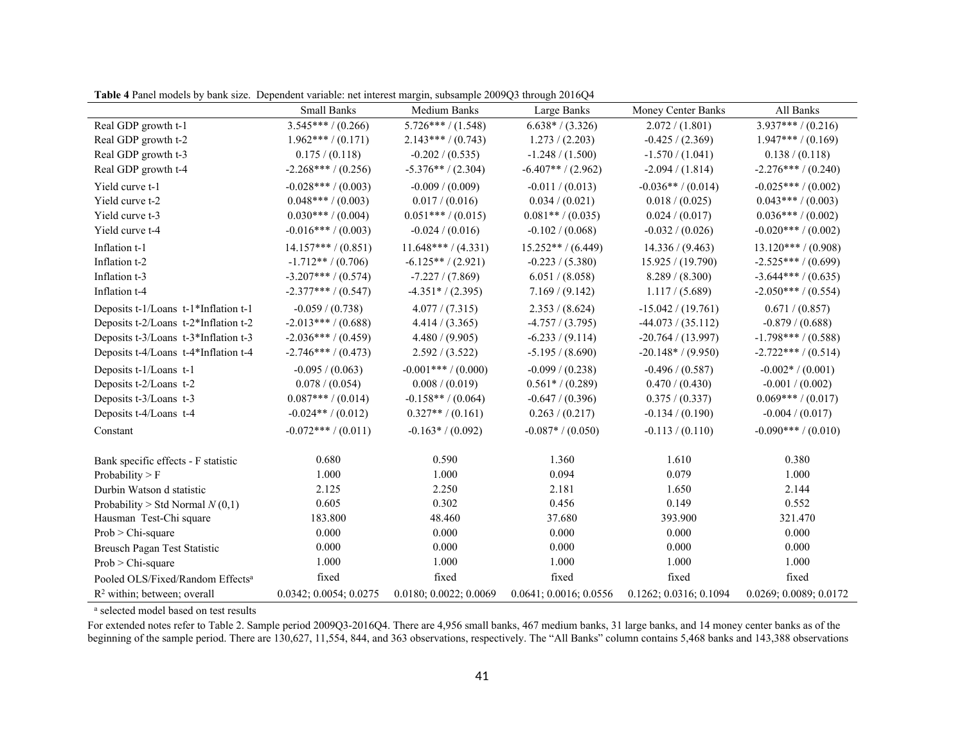|                                              | <b>Small Banks</b>     | Medium Banks           | Large Banks            | Money Center Banks     | All Banks              |
|----------------------------------------------|------------------------|------------------------|------------------------|------------------------|------------------------|
| Real GDP growth t-1                          | $3.545***/(0.266)$     | $5.726***/(1.548)$     | $6.638* / (3.326)$     | 2.072 / (1.801)        | $3.937***/(0.216)$     |
| Real GDP growth t-2                          | $1.962***/(0.171)$     | $2.143***/(0.743)$     | 1.273 / (2.203)        | $-0.425 / (2.369)$     | $1.947***/(0.169)$     |
| Real GDP growth t-3                          | 0.175 / (0.118)        | $-0.202 / (0.535)$     | $-1.248 / (1.500)$     | $-1.570 / (1.041)$     | 0.138 / (0.118)        |
| Real GDP growth t-4                          | $-2.268***/(0.256)$    | $-5.376**/(2.304)$     | $-6.407**$ / (2.962)   | $-2.094 / (1.814)$     | $-2.276***/(0.240)$    |
| Yield curve t-1                              | $-0.028***$ / (0.003)  | $-0.009 / (0.009)$     | $-0.011 / (0.013)$     | $-0.036**/(0.014)$     | $-0.025***$ / (0.002)  |
| Yield curve t-2                              | $0.048***/(0.003)$     | 0.017 / (0.016)        | 0.034 / (0.021)        | 0.018 / (0.025)        | $0.043***/(0.003)$     |
| Yield curve t-3                              | $0.030***/(0.004)$     | $0.051***/(0.015)$     | $0.081** / (0.035)$    | 0.024 / (0.017)        | $0.036***/(0.002)$     |
| Yield curve t-4                              | $-0.016***/(0.003)$    | $-0.024 / (0.016)$     | $-0.102 / (0.068)$     | $-0.032 / (0.026)$     | $-0.020***/(0.002)$    |
| Inflation t-1                                | $14.157***/(0.851)$    | $11.648***/(4.331)$    | $15.252**/(6.449)$     | 14.336 / (9.463)       | $13.120***/(0.908)$    |
| Inflation t-2                                | $-1.712**/(0.706)$     | $-6.125**/(2.921)$     | $-0.223 / (5.380)$     | 15.925 / (19.790)      | $-2.525***/(0.699)$    |
| Inflation t-3                                | $-3.207***/(0.574)$    | $-7.227 / (7.869)$     | 6.051 / (8.058)        | 8.289 / (8.300)        | $-3.644***/(0.635)$    |
| Inflation t-4                                | $-2.377***/(0.547)$    | $-4.351* / (2.395)$    | 7.169 / (9.142)        | 1.117 / (5.689)        | $-2.050***/(0.554)$    |
| Deposits t-1/Loans t-1*Inflation t-1         | $-0.059/ (0.738)$      | 4.077 / (7.315)        | 2.353 / (8.624)        | $-15.042 / (19.761)$   | 0.671 / (0.857)        |
| Deposits t-2/Loans t-2*Inflation t-2         | $-2.013***/(0.688)$    | 4.414 / (3.365)        | $-4.757 / (3.795)$     | $-44.073 / (35.112)$   | $-0.879 / (0.688)$     |
| Deposits t-3/Loans t-3*Inflation t-3         | $-2.036***/(0.459)$    | 4.480 / (9.905)        | $-6.233 / (9.114)$     | $-20.764 / (13.997)$   | $-1.798***/(0.588)$    |
| Deposits t-4/Loans t-4*Inflation t-4         | $-2.746***/(0.473)$    | 2.592 / (3.522)        | $-5.195 / (8.690)$     | $-20.148* / (9.950)$   | $-2.722***/(0.514)$    |
| Deposits t-1/Loans t-1                       | $-0.095 / (0.063)$     | $-0.001***/(0.000)$    | $-0.099 / (0.238)$     | $-0.496 / (0.587)$     | $-0.002* / (0.001)$    |
| Deposits t-2/Loans t-2                       | 0.078 / (0.054)        | 0.008 / (0.019)        | $0.561* / (0.289)$     | 0.470 / (0.430)        | $-0.001 / (0.002)$     |
| Deposits t-3/Loans t-3                       | $0.087***/(0.014)$     | $-0.158**/(0.064)$     | $-0.647 / (0.396)$     | 0.375 / (0.337)        | $0.069***/(0.017)$     |
| Deposits t-4/Loans t-4                       | $-0.024**/(0.012)$     | $0.327**/(0.161)$      | 0.263 / (0.217)        | $-0.134 / (0.190)$     | $-0.004 / (0.017)$     |
| Constant                                     | $-0.072***/(0.011)$    | $-0.163* / (0.092)$    | $-0.087* / (0.050)$    | $-0.113 / (0.110)$     | $-0.090***/(0.010)$    |
| Bank specific effects - F statistic          | 0.680                  | 0.590                  | 1.360                  | 1.610                  | 0.380                  |
| Probability $>$ F                            | 1.000                  | 1.000                  | 0.094                  | 0.079                  | 1.000                  |
| Durbin Watson d statistic                    | 2.125                  | 2.250                  | 2.181                  | 1.650                  | 2.144                  |
| Probability > Std Normal $N(0,1)$            | 0.605                  | 0.302                  | 0.456                  | 0.149                  | 0.552                  |
| Hausman Test-Chi square                      | 183.800                | 48.460                 | 37.680                 | 393.900                | 321.470                |
| Prob > Chi-square                            | 0.000                  | 0.000                  | 0.000                  | 0.000                  | 0.000                  |
| Breusch Pagan Test Statistic                 | 0.000                  | 0.000                  | 0.000                  | 0.000                  | 0.000                  |
| $Prob > Chi$ -square                         | 1.000                  | 1.000                  | 1.000                  | 1.000                  | 1.000                  |
| Pooled OLS/Fixed/Random Effects <sup>a</sup> | fixed                  | fixed                  | fixed                  | fixed                  | fixed                  |
| $R2$ within; between; overall                | 0.0342; 0.0054; 0.0275 | 0.0180; 0.0022; 0.0069 | 0.0641; 0.0016; 0.0556 | 0.1262; 0.0316; 0.1094 | 0.0269; 0.0089; 0.0172 |

**Table 4** Panel models by bank size. Dependent variable: net interest margin, subsample 2009Q3 through 2016Q4

a selected model based on test results

For extended notes refer to Table 2. Sample period 2009Q3-2016Q4. There are 4,956 small banks, 467 medium banks, 31 large banks, and 14 money center banks as of the beginning of the sample period. There are 130,627, 11,554, 844, and 363 observations, respectively. The "All Banks" column contains 5,468 banks and 143,388 observations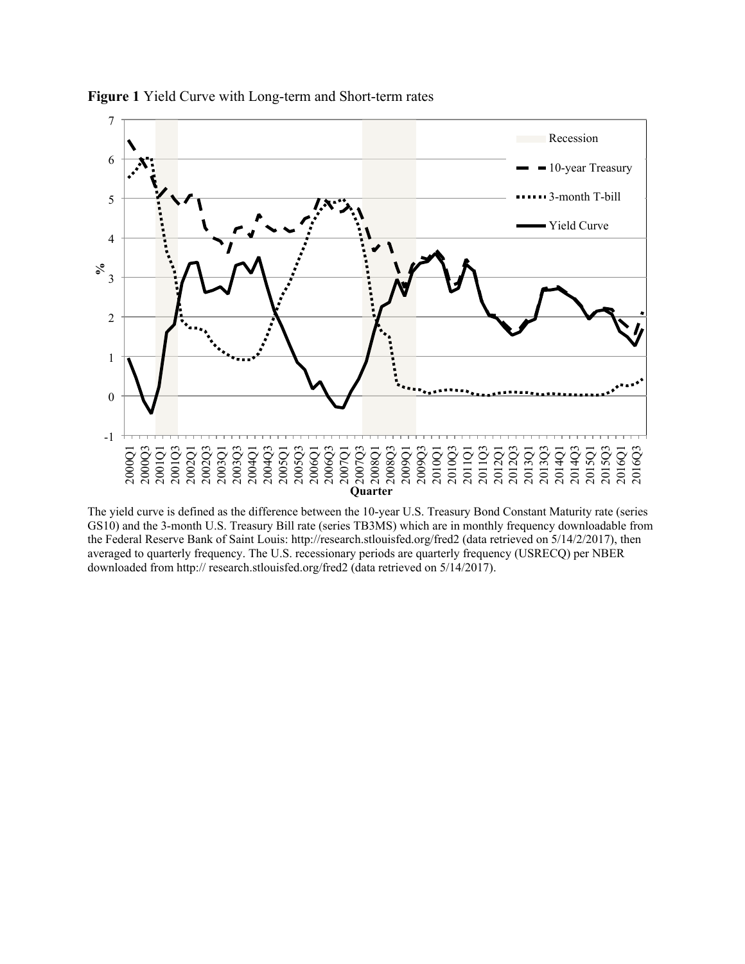

**Figure 1** Yield Curve with Long-term and Short-term rates

The yield curve is defined as the difference between the 10-year U.S. Treasury Bond Constant Maturity rate (series GS10) and the 3-month U.S. Treasury Bill rate (series TB3MS) which are in monthly frequency downloadable from the Federal Reserve Bank of Saint Louis: http://research.stlouisfed.org/fred2 (data retrieved on 5/14/2/2017), then averaged to quarterly frequency. The U.S. recessionary periods are quarterly frequency (USRECQ) per NBER downloaded from http:// research.stlouisfed.org/fred2 (data retrieved on 5/14/2017).